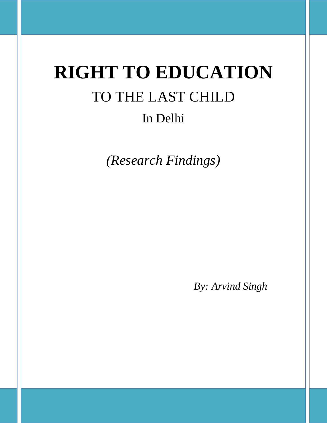# **RIGHT TO EDUCATION**  TO THE LAST CHILD In Delhi

*(Research Findings)*

*By: Arvind Singh*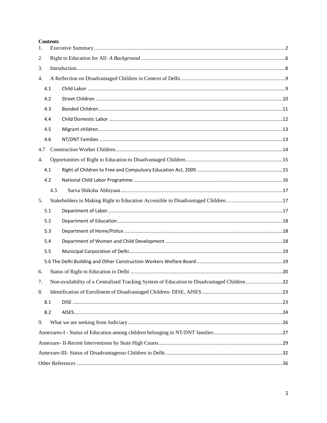#### **Contents**

| 1.  |     |                                                                                             |  |  |  |  |  |  |  |  |
|-----|-----|---------------------------------------------------------------------------------------------|--|--|--|--|--|--|--|--|
| 2.  |     |                                                                                             |  |  |  |  |  |  |  |  |
| 3.  |     |                                                                                             |  |  |  |  |  |  |  |  |
| 4.  |     |                                                                                             |  |  |  |  |  |  |  |  |
|     | 4.1 |                                                                                             |  |  |  |  |  |  |  |  |
|     | 4.2 |                                                                                             |  |  |  |  |  |  |  |  |
|     | 4.3 |                                                                                             |  |  |  |  |  |  |  |  |
|     | 4.4 |                                                                                             |  |  |  |  |  |  |  |  |
|     | 4.5 |                                                                                             |  |  |  |  |  |  |  |  |
|     | 4.6 |                                                                                             |  |  |  |  |  |  |  |  |
| 4.7 |     |                                                                                             |  |  |  |  |  |  |  |  |
| 4.  |     |                                                                                             |  |  |  |  |  |  |  |  |
|     | 4.1 |                                                                                             |  |  |  |  |  |  |  |  |
|     | 4.2 |                                                                                             |  |  |  |  |  |  |  |  |
|     | 4.3 |                                                                                             |  |  |  |  |  |  |  |  |
| 5.  |     |                                                                                             |  |  |  |  |  |  |  |  |
|     | 5.1 |                                                                                             |  |  |  |  |  |  |  |  |
|     | 5.2 |                                                                                             |  |  |  |  |  |  |  |  |
|     | 5.3 |                                                                                             |  |  |  |  |  |  |  |  |
|     | 5.4 |                                                                                             |  |  |  |  |  |  |  |  |
|     | 5.5 |                                                                                             |  |  |  |  |  |  |  |  |
|     |     |                                                                                             |  |  |  |  |  |  |  |  |
| 6.  |     |                                                                                             |  |  |  |  |  |  |  |  |
| 7.  |     | Non-availability of a Centralized Tracking System of Education to Disadvantaged Children 22 |  |  |  |  |  |  |  |  |
| 8.  |     |                                                                                             |  |  |  |  |  |  |  |  |
|     | 8.1 |                                                                                             |  |  |  |  |  |  |  |  |
|     | 8.2 |                                                                                             |  |  |  |  |  |  |  |  |
| 9.  |     |                                                                                             |  |  |  |  |  |  |  |  |
|     |     |                                                                                             |  |  |  |  |  |  |  |  |
|     |     |                                                                                             |  |  |  |  |  |  |  |  |
|     |     |                                                                                             |  |  |  |  |  |  |  |  |
|     |     |                                                                                             |  |  |  |  |  |  |  |  |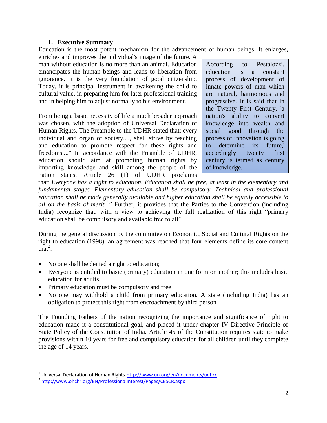### **1. Executive Summary**

<span id="page-2-0"></span>Education is the most potent mechanism for the advancement of human beings. It enlarges,

enriches and improves the individual's image of the future. A man without education is no more than an animal. Education emancipates the human beings and leads to liberation from ignorance. It is the very foundation of good citizenship. Today, it is principal instrument in awakening the child to cultural value, in preparing him for later professional training and in helping him to adjust normally to his environment.

From being a basic necessity of life a much broader approach was chosen, with the adoption of Universal Declaration of Human Rights. The Preamble to the UDHR stated that: every individual and organ of society...., shall strive by teaching and education to promote respect for these rights and freedoms...." In accordance with the Preamble of UDHR, education should aim at promoting human rights by importing knowledge and skill among the people of the nation states. Article 26 (1) of UDHR proclaims

According to Pestalozzi, education is a constant process of development of innate powers of man which are natural, harmonious and progressive. It is said that in the Twenty First Century, 'a nation's ability to convert knowledge into wealth and social good through the process of innovation is going to determine its future,' accordingly twenty first century is termed as century of knowledge.

that: *Everyone has a right to education. Education shall be free, at least in the elementary and fundamental stages. Elementary education shall be compulsory. Technical and professional education shall be made generally available and higher education shall be equally accessible to*  all on the basis of merit.<sup>1</sup>" Further, it provides that the Parties to the Convention (including India) recognize that, with a view to achieving the full realization of this right "primary" education shall be compulsory and available free to all"

During the general discussion by the committee on Economic, Social and Cultural Rights on the right to education (1998), an agreement was reached that four elements define its core content that<sup>2</sup>:

- No one shall be denied a right to education;
- Everyone is entitled to basic (primary) education in one form or another; this includes basic education for adults.
- Primary education must be compulsory and free
- No one may withhold a child from primary education. A state (including India) has an obligation to protect this right from encroachment by third person

The Founding Fathers of the nation recognizing the importance and significance of right to education made it a constitutional goal, and placed it under chapter IV Directive Principle of State Policy of the Constitution of India. Article 45 of the Constitution requires state to make provisions within 10 years for free and compulsory education for all children until they complete the age of 14 years.

l

<sup>&</sup>lt;sup>1</sup> Universal Declaration of Human Rights[-http://www.un.org/en/documents/udhr/](http://www.un.org/en/documents/udhr/)

<sup>2</sup> <http://www.ohchr.org/EN/ProfessionalInterest/Pages/CESCR.aspx>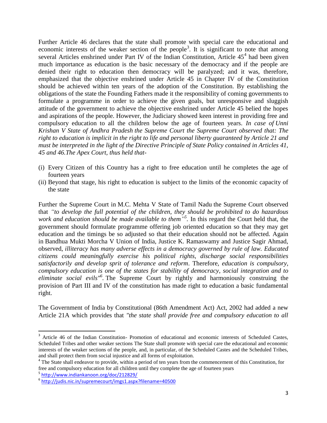Further Article 46 declares that the state shall promote with special care the educational and economic interests of the weaker section of the people<sup>3</sup>. It is significant to note that among several Articles enshrined under Part IV of the Indian Constitution, Article  $45<sup>4</sup>$  had been given much importance as education is the basic necessary of the democracy and if the people are denied their right to education then democracy will be paralyzed; and it was, therefore, emphasized that the objective enshrined under Article 45 in Chapter IV of the Constitution should be achieved within ten years of the adoption of the Constitution. By establishing the obligations of the state the Founding Fathers made it the responsibility of coming governments to formulate a programme in order to achieve the given goals, but unresponsive and sluggish attitude of the government to achieve the objective enshrined under Article 45 belied the hopes and aspirations of the people. However, the Judiciary showed keen interest in providing free and compulsory education to all the children below the age of fourteen years. *In case of Unni Krishan V State of Andhra Pradesh the Supreme Court the Supreme Court observed that: The right to education is implicit in the right to life and personal liberty guaranteed by Article 21 and must be interpreted in the light of the Directive Principle of State Policy contained in Articles 41, 45 and 46.The Apex Court, thus held that-*

- (i) Every Citizen of this Country has a right to free education until he completes the age of fourteen years
- (ii) Beyond that stage, his right to education is subject to the limits of the economic capacity of the state

Further the Supreme Court in M.C. Mehta V State of Tamil Nadu the Supreme Court observed that *"to develop the full potential of the children, they should be prohibited to do hazardous work and education should be made available to them" 5 .* In this regard the Court held that, the government should formulate programme offering job oriented education so that they may get education and the timings be so adjusted so that their education should not be affected. Again in Bandhua Mukti Morcha V Union of India, Justice K. Ramaswamy and Justice Sagir Ahmad, observed, *illiteracy has many adverse effects in a democracy governed by rule of law. Educated citizens could meaningfully exercise his political rights, discharge social responsibilities satisfactorily and develop sprit of tolerance and reform*. Therefore, *education is compulsory, compulsory education is one of the states for stability of democracy*, *social integration and to eliminate social evils"<sup>6</sup> .* The Supreme Court by rightly and harmoniously construing the provision of Part III and IV of the constitution has made right to education a basic fundamental right.

The Government of India by Constitutional (86th Amendment Act) Act, 2002 had added a new Article 21A which provides that *"the state shall provide free and compulsory education to all* 

 $\overline{\phantom{a}}$ 

<sup>&</sup>lt;sup>3</sup> Article 46 of the Indian Constitution- Promotion of educational and economic interests of Scheduled Castes, Scheduled Tribes and other weaker sections The State shall promote with special care the educational and economic interests of the weaker sections of the people, and, in particular, of the Scheduled Castes and the Scheduled Tribes, and shall protect them from social injustice and all forms of exploitation.

<sup>&</sup>lt;sup>4</sup> The State shall endeavor to provide, within a period of ten years from the commencement of this Constitution, for free and compulsory education for all children until they complete the age of fourteen years

<sup>5</sup> <http://www.indiankanoon.org/doc/212829/>

<sup>6</sup> <http://judis.nic.in/supremecourt/imgs1.aspx?filename=40500>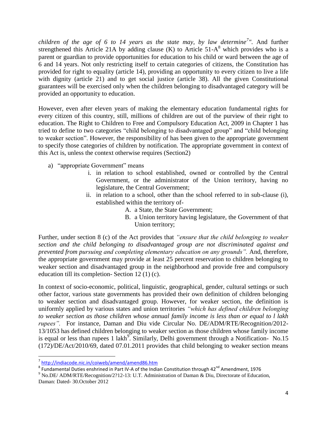*children of the age of 6 to 14 years as the state may, by law determine<sup>7</sup> ".* And further strengthened this Article 21A by adding clause  $(K)$  to Article 51-A<sup>8</sup> which provides who is a parent or guardian to provide opportunities for education to his child or ward between the age of 6 and 14 years. Not only restricting itself to certain categories of citizens, the Constitution has provided for right to equality (article 14), providing an opportunity to every citizen to live a life with dignity (article 21) and to get social justice (article 38). All the given Constitutional guarantees will be exercised only when the children belonging to disadvantaged category will be provided an opportunity to education.

However, even after eleven years of making the elementary education fundamental rights for every citizen of this country, still, millions of children are out of the purview of their right to education. The Right to Children to Free and Compulsory Education Act, 2009 in Chapter 1 has tried to define to two categories "child belonging to disadvantaged group" and "child belonging to weaker section". However, the responsibility of has been given to the appropriate government to specify those categories of children by notification. The appropriate government in context of this Act is, unless the context otherwise requires (Section2)

- a) "appropriate Government" means
	- i. in relation to school established, owned or controlled by the Central Government, or the administrator of the Union territory, having no legislature, the Central Government;
	- ii. in relation to a school, other than the school referred to in sub-clause (i), established within the territory of-
		- A. a State, the State Government;
		- B. a Union territory having legislature, the Government of that Union territory;

Further, under section 8 (c) of the Act provides that *"ensure that the child belonging to weaker section and the child belonging to disadvantaged group are not discriminated against and prevented from pursuing and completing elementary education on any grounds".* And, therefore, the appropriate government may provide at least 25 percent reservation to children belonging to weaker section and disadvantaged group in the neighborhood and provide free and compulsory education till its completion- Section 12 (1) (c).

In context of socio-economic, political, linguistic, geographical, gender, cultural settings or such other factor, various state governments has provided their own definition of children belonging to weaker section and disadvantaged group. However, for weaker section, the definition is uniformly applied by various states and union territories *"which has defined children belonging to weaker section as those children whose annual family income is less than or equal to l lakh rupees".* For instance, Daman and Diu vide Circular No. DE/ADM/RTE/Recognition/2012- 13/1053 has defined children belonging to weaker section as those children whose family income is equal or less than rupees 1 lakh<sup>9</sup>. Similarly, Delhi government through a Notification- No.15 (172)/DE/Act/2010/69, dated 07.01.2011 provides that child belonging to weaker section means

 $\overline{\phantom{a}}$ 

<sup>&</sup>lt;sup>7</sup> <http://indiacode.nic.in/coiweb/amend/amend86.htm>

 $^8$  Fundamental Duties enshrined in Part IV-A of the Indian Constitution through 42<sup>nd</sup> Amendment, 1976

<sup>9</sup> No.DE/ ADM/RTE/Recognition/2?12-13: U.T. Administration of Daman & Diu, Directorate of Education, Daman: Dated- 30.October 2012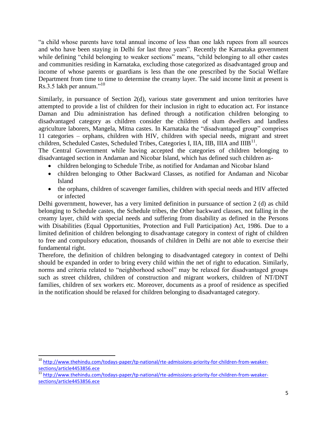―a child whose parents have total annual income of less than one lakh rupees from all sources and who have been staying in Delhi for last three years". Recently the Karnataka government while defining "child belonging to weaker sections" means, "child belonging to all other castes and communities residing in Karnataka, excluding those categorized as disadvantaged group and income of whose parents or guardians is less than the one prescribed by the Social Welfare Department from time to time to determine the creamy layer. The said income limit at present is  $\text{Rs.}3.5$  lakh per annum."<sup>10</sup>

Similarly, in pursuance of Section 2(d), various state government and union territories have attempted to provide a list of children for their inclusion in right to education act. For instance Daman and Diu administration has defined through a notification children belonging to disadvantaged category as children consider the children of slum dwellers and landless agriculture laborers, Mangela, Mitna castes. In Karnataka the "disadvantaged group" comprises 11 categories – orphans, children with HIV, children with special needs, migrant and street children, Scheduled Castes, Scheduled Tribes, Categories I, IIA, IIB, IIIA and IIIB<sup>11</sup>.

The Central Government while having accepted the categories of children belonging to disadvantaged section in Andaman and Nicobar Island, which has defined such children as-

- children belonging to Schedule Tribe, as notified for Andaman and Nicobar Island
- children belonging to Other Backward Classes, as notified for Andaman and Nicobar Island
- the orphans, children of scavenger families, children with special needs and HIV affected or infected

Delhi government, however, has a very limited definition in pursuance of section 2 (d) as child belonging to Schedule castes, the Schedule tribes, the Other backward classes, not falling in the creamy layer, child with special needs and suffering from disability as defined in the Persons with Disabilities (Equal Opportunities, Protection and Full Participation) Act, 1986. Due to a limited definition of children belonging to disadvantage category in context of right of children to free and compulsory education, thousands of children in Delhi are not able to exercise their fundamental right.

Therefore, the definition of children belonging to disadvantaged category in context of Delhi should be expanded in order to bring every child within the net of right to education. Similarly, norms and criteria related to "neighborhood school" may be relaxed for disadvantaged groups such as street children, children of construction and migrant workers, children of NT/DNT families, children of sex workers etc. Moreover, documents as a proof of residence as specified in the notification should be relaxed for children belonging to disadvantaged category.

 $\overline{a}$ 

<sup>&</sup>lt;sup>10</sup> [http://www.thehindu.com/todays-paper/tp-national/rte-admissions-priority-for-children-from-weaker](http://www.thehindu.com/todays-paper/tp-national/rte-admissions-priority-for-children-from-weaker-sections/article4453856.ece)[sections/article4453856.ece](http://www.thehindu.com/todays-paper/tp-national/rte-admissions-priority-for-children-from-weaker-sections/article4453856.ece)

<sup>&</sup>lt;sup>11</sup> [http://www.thehindu.com/todays-paper/tp-national/rte-admissions-priority-for-children-from-weaker](http://www.thehindu.com/todays-paper/tp-national/rte-admissions-priority-for-children-from-weaker-sections/article4453856.ece)[sections/article4453856.ece](http://www.thehindu.com/todays-paper/tp-national/rte-admissions-priority-for-children-from-weaker-sections/article4453856.ece)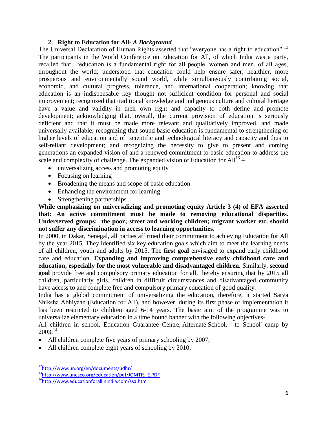### **2. Right to Education for All-** *A Background*

<span id="page-6-0"></span>The Universal Declaration of Human Rights asserted that "everyone has a right to education".<sup>12</sup> The participants in the World Conference on Education for All, of which India was a party, recalled that "education is a fundamental right for all people, women and men, of all ages, throughout the world; understood that education could help ensure safer, healthier, more prosperous and environmentally sound world, while simultaneously contributing social, economic, and cultural progress, tolerance, and international cooperation; knowing that education is an indispensable key thought not sufficient condition for personal and social improvement; recognized that traditional knowledge and indigenous culture and cultural heritage have a value and validity in their own right and capacity to both define and promote development; acknowledging that, overall, the current provision of education is seriously deficient and that it must be made more relevant and qualitatively improved, and made universally available; recognizing that sound basic education is fundamental to strengthening of higher levels of education and of scientific and technological literacy and capacity and thus to self-reliant development; and recognizing the necessity to give to present and coming generations an expanded vision of and a renewed commitment to basic education to address the scale and complexity of challenge. The expanded vision of Education for  $All^{13}$  –

- universalizing access and promoting equity
- Focusing on learning
- Broadening the means and scope of basic education
- Enhancing the environment for learning
- Strengthening partnerships

**While emphasizing on universalizing and promoting equity Article 3 (4) of EFA asserted that: An active commitment must be made to removing educational disparities. Underserved groups: the poor; street and working children; migrant worker etc. should not suffer any discrimination in access to learning opportunities.**

In 2000, in Dakar, Senegal, all parties affirmed their commitment to achieving Education for All by the year 2015. They identified six key education goals which aim to meet the learning needs of all children, youth and adults by 2015. The **first goal** envisaged to expand early childhood care and education. **Expanding and improving comprehensive early childhood care and education, especially for the most vulnerable and disadvantaged children.** Similarly, **second goal** provide free and compulsory primary education for all, thereby ensuring that by 2015 all children, particularly girls, children in difficult circumstances and disadvantaged community have access to and complete free and compulsory primary education of good quality.

India has a global commitment of universalizing the education, therefore, it started Sarva Shiksha Abhiyaan (Education for All), and however, during its first phase of implementation it has been restricted to children aged 6-14 years. The basic aim of the programme was to universalize elementary education in a time bound banner with the following objectives-

All children in school, Education Guarantee Centre, Alternate School, ' to School' camp by  $2003$ ;<sup>14</sup>

- All children complete five years of primary schooling by 2007;
- All children complete eight years of schooling by 2010;

 $\overline{\phantom{a}}$ 

<sup>&</sup>lt;sup>12</sup><http://www.un.org/en/documents/udhr/>

<sup>13</sup>[http://www.unesco.org/education/pdf/JOMTIE\\_E.PDF](http://www.unesco.org/education/pdf/JOMTIE_E.PDF)

<sup>14</sup><http://www.educationforallinindia.com/ssa.htm>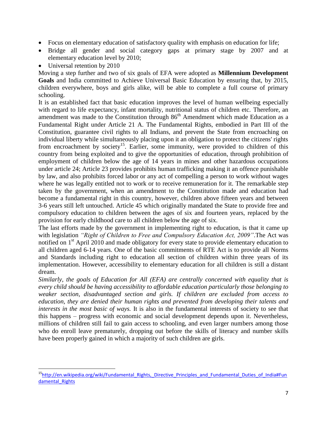- Focus on elementary education of satisfactory quality with emphasis on education for life;
- Bridge all gender and social category gaps at primary stage by 2007 and at elementary education level by 2010;
- Universal retention by 2010

l

Moving a step further and two of six goals of EFA were adopted as **Millennium Development Goals** and India committed to Achieve Universal Basic Education by ensuring that, by 2015, children everywhere, boys and girls alike, will be able to complete a full course of primary schooling.

It is an established fact that basic education improves the level of human wellbeing especially with regard to life expectancy, infant mortality, nutritional status of children etc. Therefore, an amendment was made to the Constitution through 86<sup>th</sup> Amendment which made Education as a Fundamental Right under Article 21 A. The Fundamental Rights, embodied in Part III of the Constitution, guarantee civil rights to all Indians, and prevent the State from encroaching on individual liberty while simultaneously placing upon it an obligation to protect the citizens' rights from encroachment by society<sup>15</sup>. Earlier, some immunity, were provided to children of this country from being exploited and to give the opportunities of education, through prohibition of employment of children below the age of 14 years in mines and other hazardous occupations under article 24; Article 23 provides prohibits human trafficking making it an offence punishable by law, and also prohibits forced labor or any act of compelling a person to work without wages where he was legally entitled not to work or to receive remuneration for it. The remarkable step taken by the government, when an amendment to the Constitution made and education had become a fundamental right in this country, however, children above fifteen years and between 3-6 years still left untouched. Article 45 which originally mandated the State to provide free and compulsory education to children between the ages of six and fourteen years, replaced by the provision for early childhood care to all children below the age of six.

The last efforts made by the government in implementing right to education, is that it came up with legislation *"Right of Children to Free and Compulsory Education Act, 2009"*.The Act was notified on 1<sup>st</sup> April 2010 and made obligatory for every state to provide elementary education to all children aged 6-14 years. One of the basic commitments of RTE Act is to provide all Norms and Standards including right to education all section of children within three years of its implementation. However, accessibility to elementary education for all children is still a distant dream.

*Similarly, the goals of Education for All (EFA) are centrally concerned with equality that is every child should be having accessibility to affordable education particularly those belonging to weaker section, disadvantaged section and girls. If children are excluded from access to education, they are denied their human rights and prevented from developing their talents and interests in the most basic of ways.* It is also in the fundamental interests of society to see that this happens – progress with economic and social development depends upon it. Nevertheless, millions of children still fail to gain access to schooling, and even larger numbers among those who do enroll leave prematurely, dropping out before the skills of literacy and number skills have been properly gained in which a majority of such children are girls.

<sup>&</sup>lt;sup>15</sup>[http://en.wikipedia.org/wiki/Fundamental\\_Rights,\\_Directive\\_Principles\\_and\\_Fundamental\\_Duties\\_of\\_India#Fun](http://en.wikipedia.org/wiki/Fundamental_Rights,_Directive_Principles_and_Fundamental_Duties_of_India#Fundamental_Rights) damental Rights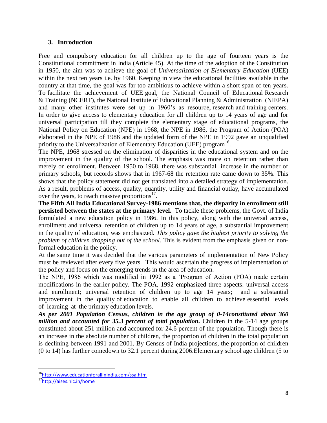### <span id="page-8-0"></span>**3. Introduction**

Free and compulsory education for all children up to the age of fourteen years is the Constitutional commitment in India (Article 45). At the time of the adoption of the Constitution in 1950, the aim was to achieve the goal of *Universalization of Elementary Education* (UEE) within the next ten years i.e. by 1960. Keeping in view the educational facilities available in the country at that time, the goal was far too ambitious to achieve within a short span of ten years. To facilitate the achievement of UEE goal, the National Council of Educational Research & Training (NCERT), the National Institute of Educational Planning & Administration (NIEPA) and many other institutes were set up in 1960's as resource, research and training centers. In order to give access to elementary education for all children up to 14 years of age and for universal participation till they complete the elementary stage of educational programs, the National Policy on Education (NPE) in 1968, the NPE in 1986, the Program of Action (POA) elaborated in the NPE of 1986 and the updated form of the NPE in 1992 gave an unqualified priority to the Universalization of Elementary Education (UEE) program<sup>16</sup>.

The NPE, 1968 stressed on the elimination of disparities in the educational system and on the improvement in the quality of the school. The emphasis was more on retention rather than merely on enrollment. Between 1950 to 1968, there was substantial increase in the number of primary schools, but records shows that in 1967-68 the retention rate came down to 35%. This shows that the policy statement did not get translated into a detailed strategy of implementation. As a result, problems of access, quality, quantity, utility and financial outlay, have accumulated over the years, to reach massive proportions $17$ .

**The Fifth All India Educational Survey-1986 mentions that, the disparity in enrollment still persisted between the states at the primary level.** To tackle these problems, the Govt. of India formulated a new education policy in 1986. In this policy, along with the universal access, enrollment and universal retention of children up to 14 years of age, a substantial improvement in the quality of education, was emphasized. *This policy gave the highest priority to solving the problem of children dropping out of the school.* This is evident from the emphasis given on nonformal education in the policy.

At the same time it was decided that the various parameters of implementation of New Policy must be reviewed after every five years. This would ascertain the progress of implementation of the policy and focus on the emerging trends in the area of education.

The NPE, 1986 which was modified in 1992 as a 'Program of Action (POA) made certain modifications in the earlier policy. The POA, 1992 emphasized three aspects: universal access and enrollment; universal retention of children up to age 14 years; and a substantial improvement in the quality of education to enable all children to achieve essential levels of learning at the primary education levels.

*As per 2001 Population Census, children in the age group of 0-14constituted about 360 million and accounted for 35.3 percent of total population.* Children in the 5-14 age groups constituted about 251 million and accounted for 24.6 percent of the population. Though there is an increase in the absolute number of children, the proportion of children in the total population is declining between 1991 and 2001. By Census of India projections, the proportion of children (0 to 14) has further comedown to 32.1 percent during 2006.Elementary school age children (5 to

l

<sup>&</sup>lt;sup>16</sup><http://www.educationforallinindia.com/ssa.htm>

<sup>17&</sup>lt;sub><http://aises.nic.in/home></sub>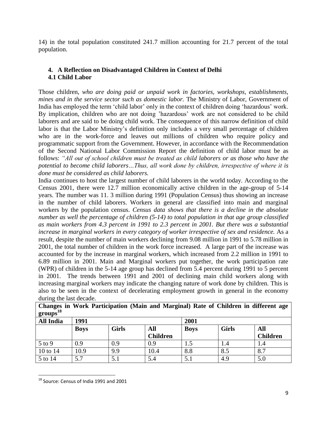<span id="page-9-0"></span>14) in the total population constituted 241.7 million accounting for 21.7 percent of the total population.

### <span id="page-9-1"></span>**4. A Reflection on Disadvantaged Children in Context of Delhi 4.1 Child Labor**

Those children, *who are doing paid or unpaid work in factories, workshops, establishments, mines and in the service sector such as domestic labor.* The Ministry of Labor, Government of India has employed the term 'child labor' only in the context of children doing 'hazardous' work. By implication, children who are not doing 'hazardous' work are not considered to be child laborers and are said to be doing child work. The consequence of this narrow definition of child labor is that the Labor Ministry's definition only includes a very small percentage of children who are in the work-force and leaves out millions of children who require policy and programmatic support from the Government. However, in accordance with the Recommendation of the Second National Labor Commission Report the definition of child labor must be as follows: *"All out of school children must be treated as child laborers or as those who have the potential to become child laborers…Thus, all work done by children, irrespective of where it is done must be considered as child laborers.* 

India continues to host the largest number of child laborers in the world today. According to the Census 2001, there were 12.7 million economically active children in the age-group of 5-14 years. The number was 11. 3 million during 1991 (Population Census) thus showing an increase in the number of child laborers. Workers in general are classified into main and marginal workers by the population census. *Census data shows that there is a decline in the absolute number as well the percentage of children (5-14) to total population in that age group classified as main workers from 4.3 percent in 1991 to 2.3 percent in 2001. But there was a substantial increase in marginal workers in every category of worker irrespective of sex and residence.* As a result, despite the number of main workers declining from 9.08 million in 1991 to 5.78 million in 2001, the total number of children in the work force increased. A large part of the increase was accounted for by the increase in marginal workers, which increased from 2.2 million in 1991 to 6.89 million in 2001. Main and Marginal workers put together, the work participation rate (WPR) of children in the 5-14 age group has declined from 5.4 percent during 1991 to 5 percent in 2001. The trends between 1991 and 2001 of declining main child workers along with increasing marginal workers may indicate the changing nature of work done by children. This is also to be seen in the context of decelerating employment growth in general in the economy during the last decade.

| $\overline{\phantom{0}}$<br>$\text{groups}^{18}$ |             |              | ີ               |             |              | $\overline{\phantom{0}}$ |  |
|--------------------------------------------------|-------------|--------------|-----------------|-------------|--------------|--------------------------|--|
| <b>All India</b>                                 | 1991        |              |                 | 2001        |              |                          |  |
|                                                  | <b>Boys</b> | <b>Girls</b> | All             | <b>Boys</b> | <b>Girls</b> | All                      |  |
|                                                  |             |              | <b>Children</b> |             |              | <b>Children</b>          |  |
| $5$ to $9$                                       | 0.9         | 0.9          | 0.9             | 1.5         | 1.4          | 1.4                      |  |
| 10 to 14                                         | 10.9        | 9.9          | 10.4            | 8.8         | 8.5          | 8.7                      |  |
| 5 to 14                                          | 5.7         | 5.1          | 5.4             | 5.1         | 4.9          | 5.0                      |  |

**Changes in Work Participation (Main and Marginal) Rate of Children in different age** 

 $\overline{\phantom{a}}$ 

<sup>18</sup> Source: Census of India 1991 and 2001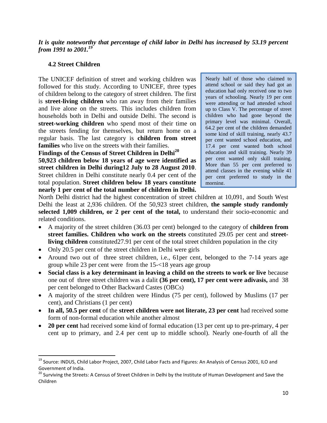*It is quite noteworthy that percentage of child labor in Delhi has increased by 53.19 percent from 1991 to 2001.<sup>19</sup>*

### <span id="page-10-0"></span>**4.2 Street Children**

 $\overline{a}$ 

The UNICEF definition of street and working children was followed for this study. According to UNICEF, three types of children belong to the category of street children. The first is **street-living children** who ran away from their families and live alone on the streets. This includes children from households both in Delhi and outside Delhi. The second is **street-working children** who spend most of their time on the streets fending for themselves, but return home on a regular basis. The last category is **children from street families** who live on the streets with their families.

**Findings of the Census of Street Children in Delhi<sup>20</sup> 50,923 children below 18 years of age were identified as street children in Delhi during12 July to 28 August 2010**. Street children in Delhi constitute nearly 0.4 per cent of the total population. **Street children below 18 years constitute nearly 1 per cent of the total number of children in Delhi.** 

Nearly half of those who claimed to attend school or said they had got an education had only received one to two years of schooling. Nearly 19 per cent were attending or had attended school up to Class V. The percentage of street children who had gone beyond the primary level was minimal. Overall, 64.2 per cent of the children demanded some kind of skill training, nearly 43.7 per cent wanted school education, and 17.4 per cent wanted both school education and skill training. Nearly 39 per cent wanted only skill training. More than 55 per cent preferred to attend classes in the evening while 41 per cent preferred to study in the morning.

North Delhi district had the highest concentration of street children at 10,091, and South West Delhi the least at 2,936 children. Of the 50,923 street children, **the sample study randomly selected 1,009 children, or 2 per cent of the total,** to understand their socio-economic and related conditions.

- A majority of the street children (36.03 per cent) belonged to the category of **children from street families. Children who work on the streets** constituted 29.05 per cent and **streetliving children** constituted27.91 per cent of the total street children population in the city
- Only 20.5 per cent of the street children in Delhi were girls
- Around two out of three street children, i.e., 61 per cent, belonged to the 7-14 years age group while 23 per cent were from the 15-<18 years age group
- **Social class is a key determinant in leaving a child on the streets to work or live** because one out of three street children was a dalit **(36 per cent), 17 per cent were adivasis,** and 38 per cent belonged to Other Backward Castes (OBCs)
- A majority of the street children were Hindus (75 per cent), followed by Muslims (17 per cent), and Christians (1 per cent)
- In all, 50.5 per cent of the **street children were not literate, 23 per cent** had received some form of non-formal education while another almost
- **20 per cent** had received some kind of formal education (13 per cent up to pre-primary, 4 per cent up to primary, and 2.4 per cent up to middle school). Nearly one-fourth of all the

<sup>&</sup>lt;sup>19</sup> Source: INDUS, Child Labor Project, 2007, Child Labor Facts and Figures: An Analysis of Census 2001, ILO and Government of India.

<sup>&</sup>lt;sup>20</sup> Surviving the Streets: A Census of Street Children in Delhi by the Institute of Human Development and Save the Children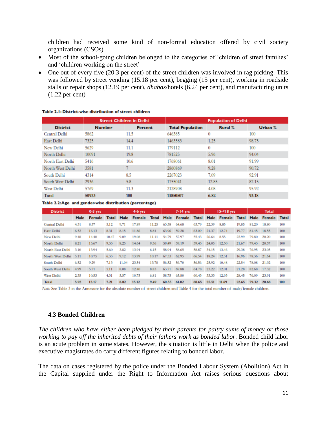children had received some kind of non-formal education offered by civil society organizations (CSOs).

- Most of the school-going children belonged to the categories of 'children of street families' and 'children working on the street'
- One out of every five (20.3 per cent) of the street children was involved in rag picking. This was followed by street vending (15.18 per cent), begging (15 per cent), working in roadside stalls or repair shops (12.19 per cent), *dhabas*/hotels (6.24 per cent), and manufacturing units (1.22 per cent)

|                      | <b>Street Children in Delhi</b> |                | <b>Population of Delhi</b> |                |         |
|----------------------|---------------------------------|----------------|----------------------------|----------------|---------|
| <b>District</b>      | <b>Number</b>                   | <b>Percent</b> | <b>Total Population</b>    | <b>Rural %</b> | Urban % |
| <b>Central Delhi</b> | 5862                            | 11.5           | 646385                     | 0              | 100     |
| <b>East Delhi</b>    | 7325                            | 14.4           | 1463583                    | 1.25           | 98.75   |
| New Delhi            | 5629                            | 11.1           | 179112                     | 0              | 100     |
| North Delhi          | 10091                           | 19.8           | 781525                     | 5.96           | 94.04   |
| North East Delhi     | 5416                            | 10.6           | 1768061                    | 8.01           | 91.99   |
| North West Delhi     | 3581                            |                | 2860869                    | 9.28           | 90.72   |
| South Delhi          | 4314                            | 8.5            | 2267023                    | 7.09           | 92.91   |
| South West Delhi     | 2936                            | 5.8            | 1755041                    | 12.85          | 87.15   |
| West Delhi           | 5769                            | 11.3           | 2128908                    | 4.08           | 95.92   |
| Total                | 50923                           | 100            | 13850507                   | 6.82           | 93.18   |

#### Table 2.1: District-wise distribution of street children

Table 2.2:Age and gender-wise distribution (percentage)

| <b>District</b>  |             | $0-3$ yrs |              |             | $4-6$ yrs     |       |             | $7-14$ yrs |       |       | $1518$ yrs                                |       |             | <b>Total</b> |     |
|------------------|-------------|-----------|--------------|-------------|---------------|-------|-------------|------------|-------|-------|-------------------------------------------|-------|-------------|--------------|-----|
|                  | <b>Male</b> | Female    | <b>Total</b> | <b>Male</b> | <b>Female</b> | Total | <b>Male</b> | Female     |       |       | Total Male Female Total Male Female Total |       |             |              |     |
| Central Delhi    | 4.31        | 8.57      | 5.12         | 9.71        | 17.89         | 11.25 | 63,58       | 64.68      | 63.79 | 22.39 | 8.85                                      | 19.85 | 81.20       | 18.80        | 100 |
| East Delhi       | 6.52        | 16.13     | 8.31         | 8.15        | 11.86         | 8.84  | 63.96       | 59.28      | 63.09 | 21.37 | 12.74                                     | 19.77 | 81.45       | 18.55        | 100 |
| New Delhi        | 9.48        | 14.40     | 10.47        | 9.09        | 19.08         | 11.11 | 54.79       | 57.97      | 55.43 | 26.64 | 8.55                                      | 22.99 | 79.80       | 20.20        | 100 |
| North Delhi      | 8.21        | 13.67     | 9.33         | 8.25        | 14.64         | 9.56  | 59.49       | 59.19      | 59.43 | 24.05 | 12.50                                     | 21.67 | 79.43 20.57 |              | 100 |
| North East Delhi | 3.10        | 13.94     | 5.60         | 3.82        | 13.94         | 6.15  | 58.94       | 58.65      | 58.87 | 34.15 | 13.46                                     | 29.38 | 76.95       | 23.05        | 100 |
| North West Delhi | 5.11        | 10.75     | 6.33         | 9.12        | 13.99         | 10.17 | 67.53       | 62.95      | 66.54 | 18.24 | 12.31                                     | 16.96 | 78.36 21.64 |              | 100 |
| South Delhi      | 6.52        | 9.29      | 7.13         | 11.04       | 23.54         | 13.78 | 56.52       | 56.70      | 56.56 | 25.92 | 10.48                                     | 22.54 | 78.08       | 21.92        | 100 |
| South West Delhi | 4.99        | 5.71      | 5.11         | 8.08        | 12.40         | 8.83  | 63.71       | 69.88      | 64.78 | 23.22 | 12.01                                     | 21.28 | 82.68       | 17.32        | 100 |
| West Delhi       | 2.35        | 10.53     | 4.31         | 5.57        | 10.75         | 6.81  | 58.75       | 65.80      | 60.43 | 33.33 | 12.93                                     | 28.45 | 76.09       | 23.91        | 100 |
| Total            | 5.92        | 12.17     | 7.21         | 8.02        | 15.12         | 0.49  | 60.55       | -61.02     | 60.65 | 25.51 | 11.69                                     | 22.65 | 79.32 20.68 |              | 100 |

Note: See Table 3 in the Annexure for the absolute number of street children and Table 4 for the total number of male/female children.

### <span id="page-11-0"></span>**4.3 Bonded Children**

*The children who have either been pledged by their parents for paltry sums of money or those working to pay off the inherited debts of their fathers work as bonded labor*. Bonded child labor is an acute problem in some states*.* However, the situation is little in Delhi when the police and executive magistrates do carry different figures relating to bonded labor.

The data on cases registered by the police under the Bonded Labour System (Abolition) Act in the Capital supplied under the Right to Information Act raises serious questions about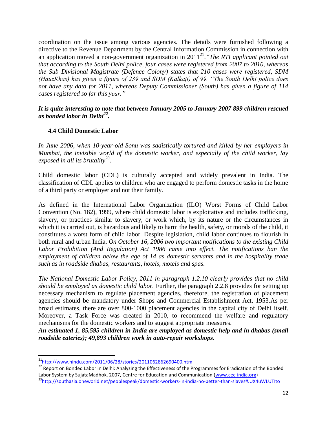coordination on the issue among various agencies. The details were furnished following a directive to the Revenue Department by the Central Information Commission in connection with an application moved a non-government organization in 2011<sup>21</sup>. "The RTI applicant pointed out *that according to the South Delhi police, four cases were registered from 2007 to 2010, whereas the Sub Divisional Magistrate (Defence Colony) states that 210 cases were registered, SDM (HauzKhas) has given a figure of 239 and SDM (Kalkaji) of 99. "The South Delhi police does not have any data for 2011, whereas Deputy Commissioner (South) has given a figure of 114 cases registered so far this year."*

*It is quite interesting to note that between January 2005 to January 2007 899 children rescued as bonded labor in Delhi<sup>22</sup> .* 

### <span id="page-12-0"></span>**4.4 Child Domestic Labor**

*In June 2006, when 10-year-old Sonu was sadistically tortured and killed by her employers in Mumbai, the invisible world of the domestic worker, and especially of the child worker, lay exposed in all its brutality<sup>23</sup> .*

Child domestic labor (CDL) is culturally accepted and widely prevalent in India. The classification of CDL applies to children who are engaged to perform domestic tasks in the home of a third party or employer and not their family.

As defined in the International Labor Organization (ILO) Worst Forms of Child Labor Convention (No. 182), 1999, where child domestic labor is exploitative and includes trafficking, slavery, or practices similar to slavery, or work which, by its nature or the circumstances in which it is carried out, is hazardous and likely to harm the health, safety, or morals of the child, it constitutes a worst form of child labor. Despite legislation, child labor continues to flourish in both rural and urban India. *On October 16, 2006 two important notifications to the existing Child Labor Prohibition (And Regulation) Act 1986 came into effect. The notifications ban the employment of children below the age of 14 as domestic servants and in the hospitality trade such as in roadside dhabas, restaurants, hotels, motels and spas.*

*The National Domestic Labor Policy, 2011 in paragraph 1.2.10 clearly provides that no child should be employed as domestic child labor.* Further, the paragraph 2.2.8 provides for setting up necessary mechanism to regulate placement agencies, therefore, the registration of placement agencies should be mandatory under Shops and Commercial Establishment Act, 1953.As per broad estimates, there are over 800-1000 placement agencies in the capital city of Delhi itself. Moreover, a Task Force was created in 2010, to recommend the welfare and regulatory mechanisms for the domestic workers and to suggest appropriate measures.

*An estimated 1, 85,595 children in India are employed as domestic help and in dhabas (small roadside eateries); 49,893 children work in auto-repair workshops.*

 $\overline{a}$ 

<sup>23</sup><http://southasia.oneworld.net/peoplespeak/domestic-workers-in-india-no-better-than-slaves#.UX4uWLUTIto>

<sup>&</sup>lt;sup>21</sup><http://www.hindu.com/2011/06/28/stories/2011062862690400.htm>

<sup>&</sup>lt;sup>22</sup> Report on Bonded Labor in Delhi: Analyzing the Effectiveness of the Programmes for Eradication of the Bonded Labor System by SujataMadhok, 2007, Centre for Education and Communication [\(www.cec-india.org\)](http://www.cec-india.org/)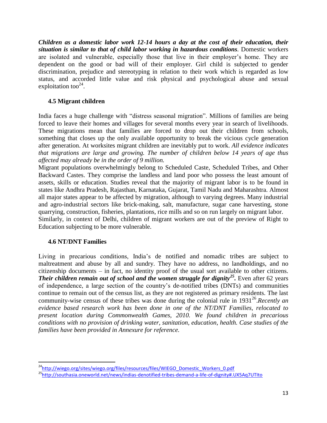*Children as a domestic labor work 12-14 hours a day at the cost of their education, their situation is similar to that of child labor working in hazardous conditions.* Domestic workers are isolated and vulnerable, especially those that live in their employer's home. They are dependent on the good or bad will of their employer. Girl child is subjected to gender discrimination, prejudice and stereotyping in relation to their work which is regarded as low status, and accorded little value and risk physical and psychological abuse and sexual exploitation too $24$ .

### <span id="page-13-0"></span>**4.5 Migrant children**

India faces a huge challenge with "distress seasonal migration". Millions of families are being forced to leave their homes and villages for several months every year in search of livelihoods. These migrations mean that families are forced to drop out their children from schools, something that closes up the only available opportunity to break the vicious cycle generation after generation. At worksites migrant children are inevitably put to work. *All evidence indicates that migrations are large and growing. The number of children below 14 years of age thus affected may already be in the order of 9 million.*

Migrant populations overwhelmingly belong to Scheduled Caste, Scheduled Tribes, and Other Backward Castes. They comprise the landless and land poor who possess the least amount of assets, skills or education. Studies reveal that the majority of migrant labor is to be found in states like Andhra Pradesh, Rajasthan, Karnataka, Gujarat, Tamil Nadu and Maharashtra. Almost all major states appear to be affected by migration, although to varying degrees. Many industrial and agro-industrial sectors like brick-making, salt, manufacture, sugar cane harvesting, stone quarrying, construction, fisheries, plantations, rice mills and so on run largely on migrant labor. Similarly, in context of Delhi, children of migrant workers are out of the preview of Right to Education subjecting to be more vulnerable.

### <span id="page-13-1"></span>**4.6 NT/DNT Families**

 $\overline{\phantom{a}}$ 

Living in precarious conditions, India's de notified and nomadic tribes are subject to maltreatment and abuse by all and sundry. They have no address, no landholdings, and no citizenship documents – in fact, no identity proof of the usual sort available to other citizens. *Their children remain out of school and the women struggle for dignity<sup>25</sup> .* Even after 62 years of independence, a large section of the country's de-notified tribes (DNTs) and communities continue to remain out of the census list, as they are not registered as primary residents. The last community-wise census of these tribes was done during the colonial rule in 1931<sup>26</sup>. *Recently an evidence based research work has been done in one of the NT/DNT Families, relocated to present location during Commonwealth Games, 2010. We found children in precarious conditions with no provision of drinking water, sanitation, education, health. Case studies of the families have been provided in Annexure for reference.* 

<sup>&</sup>lt;sup>24</sup>[http://wiego.org/sites/wiego.org/files/resources/files/WIEGO\\_Domestic\\_Workers\\_0.pdf](http://wiego.org/sites/wiego.org/files/resources/files/WIEGO_Domestic_Workers_0.pdf)

<sup>25</sup><http://southasia.oneworld.net/news/indias-denotified-tribes-demand-a-life-of-dignity#.UX5Aq7UTIto>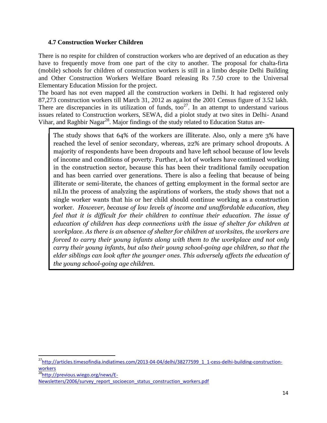### <span id="page-14-0"></span>**4.7 Construction Worker Children**

There is no respite for children of construction workers who are deprived of an education as they have to frequently move from one part of the city to another. The proposal for chalta-firta (mobile) schools for children of construction workers is still in a limbo despite Delhi Building and Other Construction Workers Welfare Board releasing Rs 7.50 crore to the Universal Elementary Education Mission for the project.

The board has not even mapped all the construction workers in Delhi. It had registered only 87,273 construction workers till March 31, 2012 as against the 2001 Census figure of 3.52 lakh. There are discrepancies in its utilization of funds, too<sup>27</sup>. In an attempt to understand various issues related to Construction workers, SEWA, did a piolot study at two sites in Delhi- Anand Vihar, and Raghbir Nagar<sup>28</sup>. Major findings of the study related to Education Status are-

The study shows that 64% of the workers are illiterate. Also, only a mere 3% have reached the level of senior secondary, whereas, 22% are primary school dropouts. A majority of respondents have been dropouts and have left school because of low levels of income and conditions of poverty. Further, a lot of workers have continued working in the construction sector, because this has been their traditional family occupation and has been carried over generations. There is also a feeling that because of being illiterate or semi-literate, the chances of getting employment in the formal sector are nil.In the process of analyzing the aspirations of workers, the study shows that not a single worker wants that his or her child should continue working as a construction worker. *However, because of low levels of income and unaffordable education, they feel that it is difficult for their children to continue their education. The issue of education of children has deep connections with the issue of shelter for children at workplace. As there is an absence of shelter for children at worksites, the workers are forced to carry their young infants along with them to the workplace and not only carry their young infants, but also their young school-going age children, so that the elder siblings can look after the younger ones. This adversely affects the education of the young school-going age children.*

 $\overline{a}$ 

<sup>&</sup>lt;sup>27</sup>[http://articles.timesofindia.indiatimes.com/2013-04-04/delhi/38277599\\_1\\_1-cess-delhi-building-construction](http://articles.timesofindia.indiatimes.com/2013-04-04/delhi/38277599_1_1-cess-delhi-building-construction-workers)[workers](http://articles.timesofindia.indiatimes.com/2013-04-04/delhi/38277599_1_1-cess-delhi-building-construction-workers)

<sup>28</sup>[http://previous.wiego.org/news/E-](http://previous.wiego.org/news/E-Newsletters/2006/survey_report_socioecon_status_construction_workers.pdf)

[Newsletters/2006/survey\\_report\\_socioecon\\_status\\_construction\\_workers.pdf](http://previous.wiego.org/news/E-Newsletters/2006/survey_report_socioecon_status_construction_workers.pdf)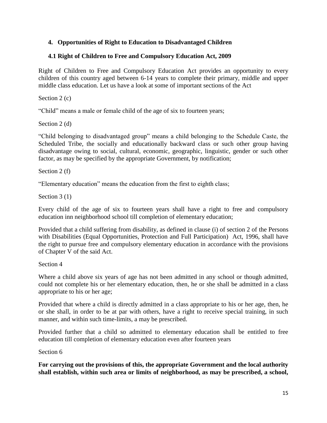### <span id="page-15-0"></span>**4. Opportunities of Right to Education to Disadvantaged Children**

### <span id="page-15-1"></span>**4.1 Right of Children to Free and Compulsory Education Act, 2009**

Right of Children to Free and Compulsory Education Act provides an opportunity to every children of this country aged between 6-14 years to complete their primary, middle and upper middle class education. Let us have a look at some of important sections of the Act

Section 2 (c)

"Child" means a male or female child of the age of six to fourteen years;

Section 2 (d)

―Child belonging to disadvantaged group‖ means a child belonging to the Schedule Caste, the Scheduled Tribe, the socially and educationally backward class or such other group having disadvantage owing to social, cultural, economic, geographic, linguistic, gender or such other factor, as may be specified by the appropriate Government, by notification;

Section 2 (f)

―Elementary education‖ means the education from the first to eighth class;

Section 3 (1)

Every child of the age of six to fourteen years shall have a right to free and compulsory education inn neighborhood school till completion of elementary education;

Provided that a child suffering from disability, as defined in clause (i) of section 2 of the Persons with Disabilities (Equal Opportunities, Protection and Full Participation) Act, 1996, shall have the right to pursue free and compulsory elementary education in accordance with the provisions of Chapter V of the said Act.

Section 4

Where a child above six years of age has not been admitted in any school or though admitted, could not complete his or her elementary education, then, he or she shall be admitted in a class appropriate to his or her age;

Provided that where a child is directly admitted in a class appropriate to his or her age, then, he or she shall, in order to be at par with others, have a right to receive special training, in such manner, and within such time-limits, a may be prescribed.

Provided further that a child so admitted to elementary education shall be entitled to free education till completion of elementary education even after fourteen years

Section 6

**For carrying out the provisions of this, the appropriate Government and the local authority shall establish, within such area or limits of neighborhood, as may be prescribed, a school,**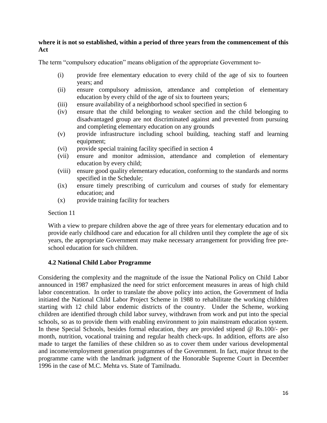### **where it is not so established, within a period of three years from the commencement of this Act**

The term "compulsory education" means obligation of the appropriate Government to-

- (i) provide free elementary education to every child of the age of six to fourteen years; and
- (ii) ensure compulsory admission, attendance and completion of elementary education by every child of the age of six to fourteen years;
- (iii) ensure availability of a neighborhood school specified in section 6
- (iv) ensure that the child belonging to weaker section and the child belonging to disadvantaged group are not discriminated against and prevented from pursuing and completing elementary education on any grounds
- (v) provide infrastructure including school building, teaching staff and learning equipment;
- (vi) provide special training facility specified in section 4
- (vii) ensure and monitor admission, attendance and completion of elementary education by every child;
- (viii) ensure good quality elementary education, conforming to the standards and norms specified in the Schedule;
- (ix) ensure timely prescribing of curriculum and courses of study for elementary education; and
- (x) provide training facility for teachers

Section 11

With a view to prepare children above the age of three years for elementary education and to provide early childhood care and education for all children until they complete the age of six years, the appropriate Government may make necessary arrangement for providing free preschool education for such children.

### <span id="page-16-0"></span>**4.2 National Child Labor Programme**

Considering the complexity and the magnitude of the issue the National Policy on Child Labor announced in 1987 emphasized the need for strict enforcement measures in areas of high child labor concentration. In order to translate the above policy into action, the Government of India initiated the National Child Labor Project Scheme in 1988 to rehabilitate the working children starting with 12 child labor endemic districts of the country. Under the Scheme, working children are identified through child labor survey, withdrawn from work and put into the special schools, so as to provide them with enabling environment to join mainstream education system. In these Special Schools, besides formal education, they are provided stipend @ Rs.100/- per month, nutrition, vocational training and regular health check-ups. In addition, efforts are also made to target the families of these children so as to cover them under various developmental and income/employment generation programmes of the Government. In fact, major thrust to the programme came with the landmark judgment of the Honorable Supreme Court in December 1996 in the case of M.C. Mehta vs. State of Tamilnadu.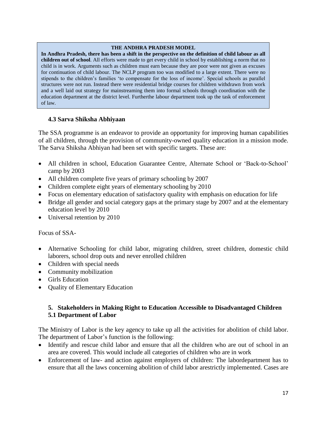#### **THE ANDHRA PRADESH MODEL**

**In Andhra Pradesh, there has been a shift in the perspective on the definition of child labour as all children out of school**. All efforts were made to get every child in school by establishing a norm that no child is in work. Arguments such as children must earn because they are poor were not given as excuses for continuation of child labour. The NCLP program too was modified to a large extent. There were no stipends to the children's families 'to compensate for the loss of income'. Special schools as parallel structures were not run. Instead there were residential bridge courses for children withdrawn from work and a well laid out strategy for mainstreaming them into formal schools through coordination with the education department at the district level. Furtherthe labour department took up the task of enforcement of law.

### <span id="page-17-0"></span>**4.3 Sarva Shiksha Abhiyaan**

The SSA programme is an endeavor to provide an opportunity for improving human capabilities of all children, through the provision of community-owned quality education in a mission mode. The Sarva Shiksha Abhiyan had been set with specific targets. These are:

- All children in school, Education Guarantee Centre, Alternate School or 'Back-to-School' camp by 2003
- All children complete five years of primary schooling by 2007
- Children complete eight years of elementary schooling by 2010
- Focus on elementary education of satisfactory quality with emphasis on education for life
- Bridge all gender and social category gaps at the primary stage by 2007 and at the elementary education level by 2010
- Universal retention by 2010

### Focus of SSA-

- Alternative Schooling for child labor, migrating children, street children, domestic child laborers, school drop outs and never enrolled children
- Children with special needs
- Community mobilization
- Girls Education
- Quality of Elementary Education

### <span id="page-17-2"></span><span id="page-17-1"></span>**5. Stakeholders in Making Right to Education Accessible to Disadvantaged Children 5.1 Department of Labor**

The Ministry of Labor is the key agency to take up all the activities for abolition of child labor. The department of Labor's function is the following:

- Identify and rescue child labor and ensure that all the children who are out of school in an area are covered. This would include all categories of children who are in work
- Enforcement of law- and action against employers of children: The labordepartment has to ensure that all the laws concerning abolition of child labor arestrictly implemented. Cases are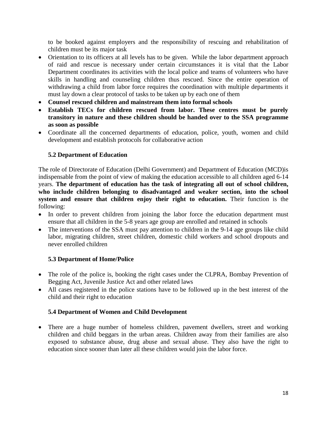to be booked against employers and the responsibility of rescuing and rehabilitation of children must be its major task

- Orientation to its officers at all levels has to be given. While the labor department approach of raid and rescue is necessary under certain circumstances it is vital that the Labor Department coordinates its activities with the local police and teams of volunteers who have skills in handling and counseling children thus rescued. Since the entire operation of withdrawing a child from labor force requires the coordination with multiple departments it must lay down a clear protocol of tasks to be taken up by each one of them
- **Counsel rescued children and mainstream them into formal schools**
- **Establish TECs for children rescued from labor. These centres must be purely transitory in nature and these children should be handed over to the SSA programme as soon as possible**
- Coordinate all the concerned departments of education, police, youth, women and child development and establish protocols for collaborative action

### <span id="page-18-0"></span>**5.2 Department of Education**

The role of Directorate of Education (Delhi Government) and Department of Education (MCD)is indispensable from the point of view of making the education accessible to all children aged 6-14 years. **The department of education has the task of integrating all out of school children, who include children belonging to disadvantaged and weaker section, into the school system and ensure that children enjoy their right to education.** Their function is the following:

- In order to prevent children from joining the labor force the education department must ensure that all children in the 5-8 years age group are enrolled and retained in schools
- The interventions of the SSA must pay attention to children in the 9-14 age groups like child labor, migrating children, street children, domestic child workers and school dropouts and never enrolled children

### <span id="page-18-1"></span>**5.3 Department of Home/Police**

- The role of the police is, booking the right cases under the CLPRA, Bombay Prevention of Begging Act, Juvenile Justice Act and other related laws
- All cases registered in the police stations have to be followed up in the best interest of the child and their right to education

### <span id="page-18-2"></span>**5.4 Department of Women and Child Development**

 There are a huge number of homeless children, pavement dwellers, street and working children and child beggars in the urban areas. Children away from their families are also exposed to substance abuse, drug abuse and sexual abuse. They also have the right to education since sooner than later all these children would join the labor force.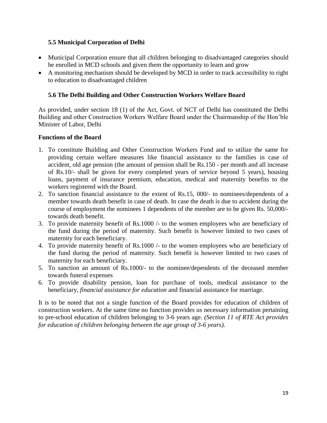### <span id="page-19-0"></span>**5.5 Municipal Corporation of Delhi**

- Municipal Corporation ensure that all children belonging to disadvantaged categories should be enrolled in MCD schools and given them the opportunity to learn and grow
- A monitoring mechanism should be developed by MCD in order to track accessibility to right to education to disadvantaged children

### <span id="page-19-1"></span>**5.6 The Delhi Building and Other Construction Workers Welfare Board**

As provided, under section 18 (1) of the Act, Govt. of NCT of Delhi has constituted the Delhi Building and other Construction Workers Welfare Board under the Chairmanship of the Hon'ble Minister of Labor, Delhi

### **Functions of the Board**

- 1. To constitute Building and Other Construction Workers Fund and to utilize the same for providing certain welfare measures like financial assistance to the families in case of accident, old age pension (the amount of pension shall be Rs.150 - per month and all increase of Rs.10/- shall be given for every completed years of service beyond 5 years), housing loans, payment of insurance premium, education, medical and maternity benefits to the workers registered with the Board.
- 2. To sanction financial assistance to the extent of Rs.15, 000/- to nominees/dependents of a member towards death benefit in case of death. In case the death is due to accident during the course of employment the nominees 1 dependents of the member are to be given Rs. 50,000/ towards death benefit.
- 3. To provide maternity benefit of Rs.1000 /- to the women employees who are beneficiary of the fund during the period of maternity. Such benefit is however limited to two cases of maternity for each beneficiary.
- 4. To provide maternity benefit of Rs.1000 /- to the women employees who are beneficiary of the fund during the period of maternity. Such benefit is however limited to two cases of maternity for each beneficiary.
- 5. To sanction an amount of Rs.1000/- to the nominee/dependents of the deceased member towards funeral expenses
- 6. To provide disability pension, loan for purchase of tools, medical assistance to the beneficiary, *financial assistance for education* and financial assistance for marriage.

It is to be noted that not a single function of the Board provides for education of children of construction workers. At the same time no function provides us necessary information pertaining to pre-school education of children belonging to 3-6 years age. *(Section 11 of RTE Act provides for education of children belonging between the age group of 3-6 years).*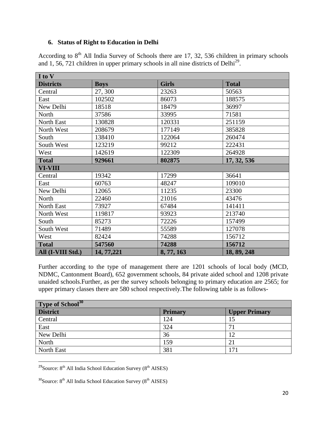### <span id="page-20-0"></span>**6. Status of Right to Education in Delhi**

According to  $8<sup>th</sup>$  All India Survey of Schools there are 17, 32, 536 children in primary schools and  $1, 56, 721$  children in upper primary schools in all nine districts of Delhi<sup>29</sup>.

| I to V            |             |              |              |  |  |  |  |  |  |
|-------------------|-------------|--------------|--------------|--|--|--|--|--|--|
| <b>Districts</b>  | <b>Boys</b> | <b>Girls</b> | <b>Total</b> |  |  |  |  |  |  |
| Central           | 27,300      | 23263        | 50563        |  |  |  |  |  |  |
| East              | 102502      | 86073        | 188575       |  |  |  |  |  |  |
| New Delhi         | 18518       | 18479        | 36997        |  |  |  |  |  |  |
| North             | 37586       | 33995        | 71581        |  |  |  |  |  |  |
| North East        | 130828      | 120331       | 251159       |  |  |  |  |  |  |
| North West        | 208679      | 177149       | 385828       |  |  |  |  |  |  |
| South             | 138410      | 122064       | 260474       |  |  |  |  |  |  |
| South West        | 123219      | 99212        | 222431       |  |  |  |  |  |  |
| West              | 142619      | 122309       | 264928       |  |  |  |  |  |  |
| <b>Total</b>      | 929661      | 802875       | 17, 32, 536  |  |  |  |  |  |  |
| <b>VI-VIII</b>    |             |              |              |  |  |  |  |  |  |
| Central           | 19342       | 17299        | 36641        |  |  |  |  |  |  |
| East              | 60763       | 48247        | 109010       |  |  |  |  |  |  |
| New Delhi         | 12065       | 11235        | 23300        |  |  |  |  |  |  |
| North             | 22460       | 21016        | 43476        |  |  |  |  |  |  |
| North East        | 73927       | 67484        | 141411       |  |  |  |  |  |  |
| North West        | 119817      | 93923        | 213740       |  |  |  |  |  |  |
| South             | 85273       | 72226        | 157499       |  |  |  |  |  |  |
| South West        | 71489       | 55589        | 127078       |  |  |  |  |  |  |
| West              | 82424       | 74288        | 156712       |  |  |  |  |  |  |
| <b>Total</b>      | 547560      | 74288        | 156712       |  |  |  |  |  |  |
| All (I-VIII Std.) | 14, 77, 221 | 8, 77, 163   | 18, 89, 248  |  |  |  |  |  |  |

Further according to the type of management there are 1201 schools of local body (MCD, NDMC, Cantonment Board), 652 government schools, 84 private aided school and 1208 private unaided schools.Further, as per the survey schools belonging to primary education are 2565; for upper primary classes there are 580 school respectively.The following table is as follows-

| Type of School <sup>30</sup> |                |                      |  |  |  |  |  |
|------------------------------|----------------|----------------------|--|--|--|--|--|
| <b>District</b>              | <b>Primary</b> | <b>Upper Primary</b> |  |  |  |  |  |
| Central                      | 124            | 15                   |  |  |  |  |  |
| East                         | 324            |                      |  |  |  |  |  |
| New Delhi                    | 36             | 12                   |  |  |  |  |  |
| North                        | 159            |                      |  |  |  |  |  |
| North East                   | 381            | 171                  |  |  |  |  |  |

 $^{29}$ Source:  $8^{th}$  All India School Education Survey ( $8^{th}$  AISES)

 $\overline{\phantom{a}}$ 

 $30$ Source:  $8<sup>th</sup>$  All India School Education Survey ( $8<sup>th</sup>$  AISES)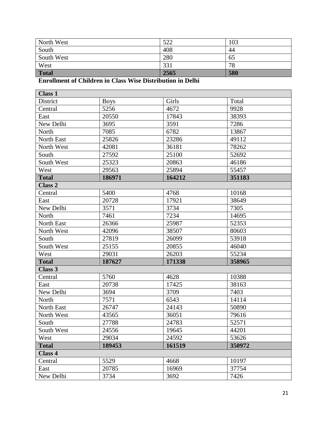| North West   | 522<br>ے بے ر | 103 |
|--------------|---------------|-----|
| South        | 408           | 44  |
| South West   | 280           | 65  |
| West         | 331           | 78  |
| <b>Total</b> | 2565          | 580 |

# **Enrollment of Children in Class Wise Distribution in Delhi**

| <b>Class 1</b>    |             |        |        |  |
|-------------------|-------------|--------|--------|--|
| District          | <b>Boys</b> | Girls  | Total  |  |
| Central           | 5256        | 4672   | 9928   |  |
| East              | 20550       | 17843  | 38393  |  |
| New Delhi         | 3695        | 3591   | 7286   |  |
| North             | 7085        | 6782   | 13867  |  |
| North East        | 25826       | 23286  | 49112  |  |
| North West        | 42081       | 36181  | 78262  |  |
| South             | 27592       | 25100  | 52692  |  |
| South West        | 25323       | 20863  | 46186  |  |
| West              | 29563       | 25894  | 55457  |  |
| <b>Total</b>      | 186971      | 164212 | 351183 |  |
| <b>Class 2</b>    |             |        |        |  |
| Central           | 5400        | 4768   | 10168  |  |
| East              | 20728       | 17921  | 38649  |  |
| New Delhi         | 3571        | 3734   | 7305   |  |
| North             | 7461        | 7234   | 14695  |  |
| North East        | 26366       | 25987  | 52353  |  |
| North West        | 42096       | 38507  | 80603  |  |
| South             | 27819       | 26099  | 53918  |  |
| South West        | 25155       | 20855  | 46040  |  |
| West              | 29031       | 26203  | 55234  |  |
| <b>Total</b>      | 187627      | 171338 | 358965 |  |
| <b>Class 3</b>    |             |        |        |  |
| Central           | 5760        | 4628   | 10388  |  |
| East              | 20738       | 17425  | 38163  |  |
| New Delhi         | 3694        | 3709   | 7403   |  |
| North             | 7571        | 6543   | 14114  |  |
| <b>North East</b> | 26747       | 24143  | 50890  |  |
| North West        | 43565       | 36051  | 79616  |  |
| South             | 27788       | 24783  | 52571  |  |
| South West        | 24556       | 19645  | 44201  |  |
| West              | 29034       | 24592  | 53626  |  |
| <b>Total</b>      | 189453      | 161519 | 350972 |  |
| <b>Class 4</b>    |             |        |        |  |
| Central           | 5529        | 4668   | 10197  |  |
| East              | 20785       | 16969  | 37754  |  |
| New Delhi         | 3734        | 3692   | 7426   |  |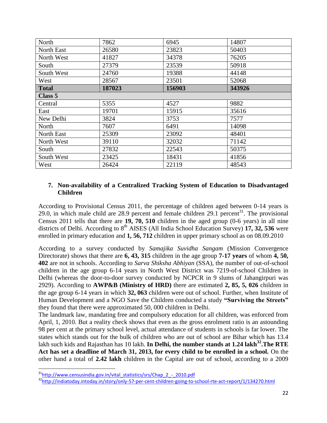| North        | 7862   | 6945   | 14807  |  |  |  |  |  |  |
|--------------|--------|--------|--------|--|--|--|--|--|--|
| North East   | 26580  | 23823  | 50403  |  |  |  |  |  |  |
| North West   | 41827  | 34378  | 76205  |  |  |  |  |  |  |
| South        | 27379  | 23539  | 50918  |  |  |  |  |  |  |
| South West   | 24760  | 19388  | 44148  |  |  |  |  |  |  |
| West         | 28567  | 23501  | 52068  |  |  |  |  |  |  |
| <b>Total</b> | 187023 | 156903 | 343926 |  |  |  |  |  |  |
| Class 5      |        |        |        |  |  |  |  |  |  |
| Central      | 5355   | 4527   | 9882   |  |  |  |  |  |  |
| East         | 19701  | 15915  | 35616  |  |  |  |  |  |  |
| New Delhi    | 3824   | 3753   | 7577   |  |  |  |  |  |  |
| North        | 7607   | 6491   | 14098  |  |  |  |  |  |  |
| North East   | 25309  | 23092  | 48401  |  |  |  |  |  |  |
| North West   | 39110  | 32032  | 71142  |  |  |  |  |  |  |
| South        | 27832  | 22543  | 50375  |  |  |  |  |  |  |
| South West   | 23425  | 18431  | 41856  |  |  |  |  |  |  |
| West         | 26424  | 22119  | 48543  |  |  |  |  |  |  |

### <span id="page-22-0"></span>**7. Non-availability of a Centralized Tracking System of Education to Disadvantaged Children**

According to Provisional Census 2011, the percentage of children aged between 0-14 years is 29.0, in which male child are  $28.9$  percent and female children  $29.1$  percent<sup>31</sup>. The provisional Census 2011 tells that there are **19, 70, 510** children in the aged group (0-6 years) in all nine districts of Delhi. According to 8<sup>th</sup> AISES (All India School Education Survey) **17, 32, 536** were enrolled in primary education and **1, 56, 712** children in upper primary school as on 08.09.2010

According to a survey conducted by *Samajika Suvidha Sangam* (Mission Convergence Directorate) shows that there are **6, 43, 315** children in the age group **7-17 years** of whom **4, 50, 402** are not in schools. According to *Sarva Shiksha Abhiyan* (SSA), the number of out-of-school children in the age group 6-14 years in North West District was 7219-of-school Children in Delhi (whereas the door-to-door survey conducted by NCPCR in 9 slums of Jahangirpuri was 2929). According to **AWP&B (Ministry of HRD)** there are estimated **2, 85, 5, 026** children in the age group 6-14 years in which **32, 063** children were out of school. Further, when Institute of Human Development and a NGO Save the Children conducted a study **"Surviving the Streets"**  they found that there were approximated 50, 000 children in Delhi.

The landmark law, mandating free and compulsory education for all children, was enforced from April, 1, 2010. But a reality check shows that even as the gross enrolment ratio is an astounding 98 per cent at the primary school level, actual attendance of students in schools is far lower. The states which stands out for the bulk of children who are out of school are Bihar which has 13.4 lakh such kids and Rajasthan has 10 lakh. **In Delhi, the number stands at 1.24 lakh<sup>32</sup>.The RTE Act has set a deadline of March 31, 2013, for every child to be enrolled in a school.** On the other hand a total of **2.42 lakh** children in the Capital are out of school, according to a 2009

l

<sup>&</sup>lt;sup>31</sup>[http://www.censusindia.gov.in/vital\\_statistics/srs/Chap\\_2\\_-\\_2010.pdf](http://www.censusindia.gov.in/vital_statistics/srs/Chap_2_-_2010.pdf)

<sup>32</sup><http://indiatoday.intoday.in/story/only-57-per-cent-children-going-to-school-rte-act-report/1/134270.html>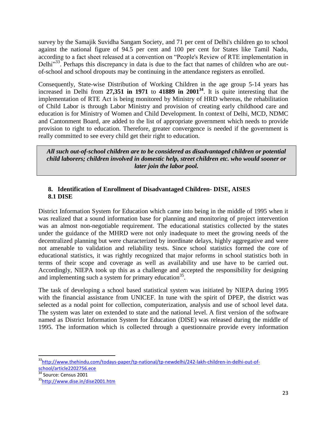survey by the Samajik Suvidha Sangam Society, and 71 per cent of Delhi's children go to school against the national figure of 94.5 per cent and 100 per cent for States like Tamil Nadu, according to a fact sheet released at a convention on "People's Review of RTE implementation in Delhi<sup>333</sup>. Perhaps this discrepancy in data is due to the fact that names of children who are outof-school and school dropouts may be continuing in the attendance registers as enrolled.

Consequently, State-wise Distribution of Working Children in the age group 5-14 years has increased in Delhi from **27,351 in 1971** to **41889 in 2001<sup>34</sup>**. It is quite interesting that the implementation of RTE Act is being monitored by Ministry of HRD whereas, the rehabilitation of Child Labor is through Labor Ministry and provision of creating early childhood care and education is for Ministry of Women and Child Development. In context of Delhi, MCD, NDMC and Cantonment Board, are added to the list of appropriate government which needs to provide provision to right to education. Therefore, greater convergence is needed if the government is really committed to see every child get their right to education.

*All such out-of-school children are to be considered as disadvantaged children or potential child laborers; children involved in domestic help, street children etc. who would sooner or later join the labor pool.*

### <span id="page-23-1"></span><span id="page-23-0"></span>**8. Identification of Enrollment of Disadvantaged Children- DISE, AISES 8.1 DISE**

District Information System for Education which came into being in the middle of 1995 when it was realized that a sound information base for planning and monitoring of project intervention was an almost non-negotiable requirement. The educational statistics collected by the states under the guidance of the MHRD were not only inadequate to meet the growing needs of the decentralized planning but were characterized by inordinate delays, highly aggregative and were not amenable to validation and reliability tests. Since school statistics formed the core of educational statistics, it was rightly recognized that major reforms in school statistics both in terms of their scope and coverage as well as availability and use have to be carried out. Accordingly, NIEPA took up this as a challenge and accepted the responsibility for designing and implementing such a system for primary education<sup>35</sup>.

The task of developing a school based statistical system was initiated by NIEPA during 1995 with the financial assistance from UNICEF. In tune with the spirit of DPEP, the district was selected as a nodal point for collection, computerization, analysis and use of school level data. The system was later on extended to state and the national level. A first version of the software named as District Information System for Education (DISE) was released during the middle of 1995. The information which is collected through a questionnaire provide every information

 $\frac{34}{34}$  Source: Census 2001

 $\overline{a}$ 

<sup>&</sup>lt;sup>33</sup>[http://www.thehindu.com/todays-paper/tp-national/tp-newdelhi/242-lakh-children-in-delhi-out-of](http://www.thehindu.com/todays-paper/tp-national/tp-newdelhi/242-lakh-children-in-delhi-out-of-school/article2202756.ece)[school/article2202756.ece](http://www.thehindu.com/todays-paper/tp-national/tp-newdelhi/242-lakh-children-in-delhi-out-of-school/article2202756.ece)

<sup>35</sup><http://www.dise.in/dise2001.htm>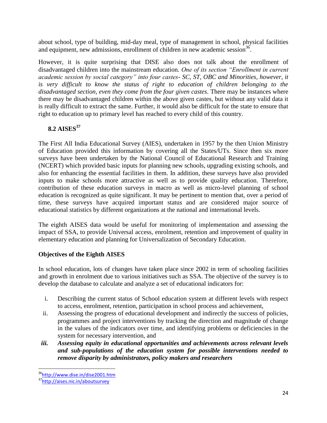about school, type of building, mid-day meal, type of management in school, physical facilities and equipment, new admissions, enrollment of children in new academic session<sup>36</sup>.

However, it is quite surprising that DISE also does not talk about the enrollment of disadvantaged children into the mainstream education. *One of its section "Enrollment in current academic session by social category" into four castes- SC, ST, OBC and Minorities, however, it is very difficult to know the status of right to education of children belonging to the disadvantaged section, even they come from the four given castes*. There may be instances where there may be disadvantaged children within the above given castes, but without any valid data it is really difficult to extract the same. Further, it would also be difficult for the state to ensure that right to education up to primary level has reached to every child of this country.

# <span id="page-24-0"></span>**8.2 AISES<sup>37</sup>**

The First All India Educational Survey (AIES), undertaken in 1957 by the then Union Ministry of Education provided this information by covering all the States/UTs. Since then six more surveys have been undertaken by the National Council of Educational Research and Training (NCERT) which provided basic inputs for planning new schools, upgrading existing schools, and also for enhancing the essential facilities in them. In addition, these surveys have also provided inputs to make schools more attractive as well as to provide quality education. Therefore, contribution of these education surveys in macro as well as micro-level planning of school education is recognized as quite significant. It may be pertinent to mention that, over a period of time, these surveys have acquired important status and are considered major source of educational statistics by different organizations at the national and international levels.

The eighth AISES data would be useful for monitoring of implementation and assessing the impact of SSA, to provide Universal access, enrolment, retention and improvement of quality in elementary education and planning for Universalization of Secondary Education.

### **Objectives of the Eighth AISES**

In school education, lots of changes have taken place since 2002 in term of schooling facilities and growth in enrolment due to various initiatives such as SSA. The objective of the survey is to develop the database to calculate and analyze a set of educational indicators for:

- i. Describing the current status of School education system at different levels with respect to access, enrolment, retention, participation in school process and achievement,
- ii. Assessing the progress of educational development and indirectly the success of policies, programmes and project interventions by tracking the direction and magnitude of change in the values of the indicators over time, and identifying problems or deficiencies in the system for necessary intervention, and
- *iii. Assessing equity in educational opportunities and achievements across relevant levels and sub-populations of the education system for possible interventions needed to remove disparity by administrators, policy makers and researchers*

l

<sup>36</sup><http://www.dise.in/dise2001.htm>

<sup>37</sup><http://aises.nic.in/aboutsurvey>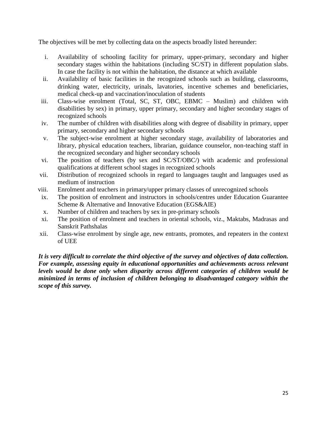The objectives will be met by collecting data on the aspects broadly listed hereunder:

- i. Availability of schooling facility for primary, upper-primary, secondary and higher secondary stages within the habitations (including SC/ST) in different population slabs. In case the facility is not within the habitation, the distance at which available
- ii. Availability of basic facilities in the recognized schools such as building, classrooms, drinking water, electricity, urinals, lavatories, incentive schemes and beneficiaries, medical check-up and vaccination/inoculation of students
- iii. Class-wise enrolment (Total, SC, ST, OBC, EBMC Muslim) and children with disabilities by sex) in primary, upper primary, secondary and higher secondary stages of recognized schools
- iv. The number of children with disabilities along with degree of disability in primary, upper primary, secondary and higher secondary schools
- v. The subject-wise enrolment at higher secondary stage, availability of laboratories and library, physical education teachers, librarian, guidance counselor, non-teaching staff in the recognized secondary and higher secondary schools
- vi. The position of teachers (by sex and SC/ST/OBC/) with academic and professional qualifications at different school stages in recognized schools
- vii. Distribution of recognized schools in regard to languages taught and languages used as medium of instruction
- viii. Enrolment and teachers in primary/upper primary classes of unrecognized schools
- ix. The position of enrolment and instructors in schools/centres under Education Guarantee Scheme & Alternative and Innovative Education (EGS&AIE)
- x. Number of children and teachers by sex in pre-primary schools
- xi. The position of enrolment and teachers in oriental schools, viz., Maktabs, Madrasas and Sanskrit Pathshalas
- xii. Class-wise enrolment by single age, new entrants, promotes, and repeaters in the context of UEE

*It is very difficult to correlate the third objective of the survey and objectives of data collection. For example, assessing equity in educational opportunities and achievements across relevant levels would be done only when disparity across different categories of children would be minimized in terms of inclusion of children belonging to disadvantaged category within the scope of this survey.*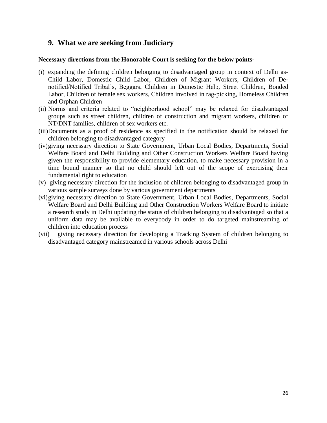# <span id="page-26-0"></span>**9. What we are seeking from Judiciary**

### **Necessary directions from the Honorable Court is seeking for the below points-**

- (i) expanding the defining children belonging to disadvantaged group in context of Delhi as-Child Labor, Domestic Child Labor, Children of Migrant Workers, Children of Denotified/Notified Tribal's, Beggars, Children in Domestic Help, Street Children, Bonded Labor, Children of female sex workers, Children involved in rag-picking, Homeless Children and Orphan Children
- (ii) Norms and criteria related to "neighborhood school" may be relaxed for disadvantaged groups such as street children, children of construction and migrant workers, children of NT/DNT families, children of sex workers etc.
- (iii)Documents as a proof of residence as specified in the notification should be relaxed for children belonging to disadvantaged category
- (iv)giving necessary direction to State Government, Urban Local Bodies, Departments, Social Welfare Board and Delhi Building and Other Construction Workers Welfare Board having given the responsibility to provide elementary education, to make necessary provision in a time bound manner so that no child should left out of the scope of exercising their fundamental right to education
- (v) giving necessary direction for the inclusion of children belonging to disadvantaged group in various sample surveys done by various government departments
- (vi)giving necessary direction to State Government, Urban Local Bodies, Departments, Social Welfare Board and Delhi Building and Other Construction Workers Welfare Board to initiate a research study in Delhi updating the status of children belonging to disadvantaged so that a uniform data may be available to everybody in order to do targeted mainstreaming of children into education process
- (vii) giving necessary direction for developing a Tracking System of children belonging to disadvantaged category mainstreamed in various schools across Delhi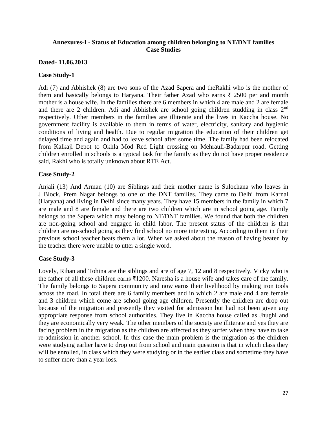### <span id="page-27-0"></span>**Annexures-I - Status of Education among children belonging to NT/DNT families Case Studies**

### **Dated- 11.06.2013**

### **Case Study-1**

Adi (7) and Abhishek (8) are two sons of the Azad Sapera and theRakhi who is the mother of them and basically belongs to Haryana. Their father Azad who earns  $\bar{\xi}$  2500 per and month mother is a house wife. In the families there are 6 members in which 4 are male and 2 are female and there are 2 children. Adi and Abhishek are school going children studding in class  $2<sup>nd</sup>$ respectively. Other members in the families are illiterate and the lives in Kaccha house. No government facility is available to them in terms of water, electricity, sanitary and hygienic conditions of living and health. Due to regular migration the education of their children get delayed time and again and had to leave school after some time. The family had been relocated from Kalkaji Depot to Okhla Mod Red Light crossing on Mehrauli-Badarpur road. Getting children enrolled in schools is a typical task for the family as they do not have proper residence said, Rakhi who is totally unknown about RTE Act.

### **Case Study-2**

Anjali (13) And Arman (10) are Siblings and their mother name is Sulochana who leaves in J Block, Prem Nagar belongs to one of the DNT families. They came to Delhi from Karnal (Haryana) and living in Delhi since many years. They have 15 members in the family in which 7 are male and 8 are female and there are two children which are in school going age. Family belongs to the Sapera which may belong to NT/DNT families. We found that both the children are non-going school and engaged in child labor. The present status of the children is that children are no-school going as they find school no more interesting. According to them in their previous school teacher beats them a lot. When we asked about the reason of having beaten by the teacher there were unable to utter a single word.

### **Case Study-3**

Lovely, Rihan and Tohina are the siblings and are of age 7, 12 and 8 respectively. Vicky who is the father of all these children earns ₹1200. Naresha is a house wife and takes care of the family. The family belongs to Sapera community and now earns their livelihood by making iron tools across the road. In total there are 6 family members and in which 2 are male and 4 are female and 3 children which come are school going age children. Presently the children are drop out because of the migration and presently they visited for admission but had not been given any appropriate response from school authorities. They live in Kaccha house called as Jhughi and they are economically very weak. The other members of the society are illiterate and yes they are facing problem in the migration as the children are affected as they suffer when they have to take re-admission in another school. In this case the main problem is the migration as the children were studying earlier have to drop out from school and main question is that in which class they will be enrolled, in class which they were studying or in the earlier class and sometime they have to suffer more than a year loss.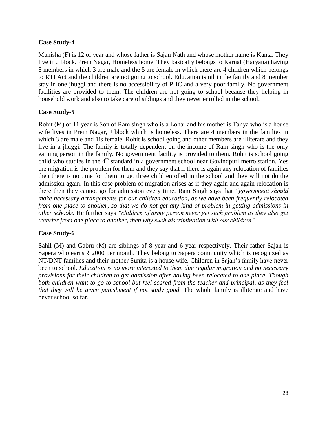### **Case Study-4**

Munisha (F) is 12 of year and whose father is Sajan Nath and whose mother name is Kanta. They live in J block. Prem Nagar, Homeless home. They basically belongs to Karnal (Haryana) having 8 members in which 3 are male and the 5 are female in which there are 4 children which belongs to RTI Act and the children are not going to school. Education is nil in the family and 8 member stay in one jhuggi and there is no accessibility of PHC and a very poor family. No government facilities are provided to them. The children are not going to school because they helping in household work and also to take care of siblings and they never enrolled in the school.

### **Case Study-5**

Rohit (M) of 11 year is Son of Ram singh who is a Lohar and his mother is Tanya who is a house wife lives in Prem Nagar, J block which is homeless. There are 4 members in the families in which 3 are male and 1 is female. Rohit is school going and other members are illiterate and they live in a jhuggi. The family is totally dependent on the income of Ram singh who is the only earning person in the family. No government facility is provided to them. Rohit is school going child who studies in the  $4<sup>th</sup>$  standard in a government school near Govindpuri metro station. Yes the migration is the problem for them and they say that if there is again any relocation of families then there is no time for them to get three child enrolled in the school and they will not do the admission again. In this case problem of migration arises as if they again and again relocation is there then they cannot go for admission every time. Ram Singh says that *"government should make necessary arrangements for our children education, as we have been frequently relocated from one place to another, so that we do not get any kind of problem in getting admissions in other schools.* He further says *"children of army person never get such problem as they also get transfer from one place to another, then why such discrimination with our children".*

### **Case Study-6**

Sahil (M) and Gabru (M) are siblings of 8 year and 6 year respectively. Their father Sajan is Sapera who earns  $\bar{\tau}$  2000 per month. They belong to Sapera community which is recognized as NT/DNT families and their mother Sunita is a house wife. Children in Sajan's family have never been to school. *Education is no more interested to them due regular migration and no necessary provisions for their children to get admission after having been relocated to one place. Though*  both children want to go to school but feel scared from the teacher and principal, as they feel *that they will be given punishment if not study good.* The whole family is illiterate and have never school so far.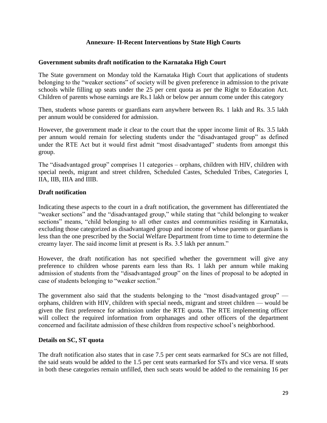### **Annexure- II-Recent Interventions by State High Courts**

### <span id="page-29-0"></span>**Government submits draft notification to the Karnataka High Court**

The State government on Monday told the Karnataka High Court that applications of students belonging to the "weaker sections" of society will be given preference in admission to the private schools while filling up seats under the 25 per cent quota as per the Right to Education Act. Children of parents whose earnings are Rs.1 lakh or below per annum come under this category

Then, students whose parents or guardians earn anywhere between Rs. 1 lakh and Rs. 3.5 lakh per annum would be considered for admission.

However, the government made it clear to the court that the upper income limit of Rs. 3.5 lakh per annum would remain for selecting students under the "disadvantaged group" as defined under the RTE Act but it would first admit "most disadvantaged" students from amongst this group.

The "disadvantaged group" comprises 11 categories – orphans, children with HIV, children with special needs, migrant and street children, Scheduled Castes, Scheduled Tribes, Categories I, IIA, IIB, IIIA and IIIB.

### **Draft notification**

Indicating these aspects to the court in a draft notification, the government has differentiated the "weaker sections" and the "disadvantaged group," while stating that "child belonging to weaker sections" means, "child belonging to all other castes and communities residing in Karnataka, excluding those categorized as disadvantaged group and income of whose parents or guardians is less than the one prescribed by the Social Welfare Department from time to time to determine the creamy layer. The said income limit at present is Rs. 3.5 lakh per annum."

However, the draft notification has not specified whether the government will give any preference to children whose parents earn less than Rs. 1 lakh per annum while making admission of students from the "disadvantaged group" on the lines of proposal to be adopted in case of students belonging to "weaker section."

The government also said that the students belonging to the "most disadvantaged group" orphans, children with HIV, children with special needs, migrant and street children — would be given the first preference for admission under the RTE quota. The RTE implementing officer will collect the required information from orphanages and other officers of the department concerned and facilitate admission of these children from respective school's neighborhood.

#### **Details on SC, ST quota**

The draft notification also states that in case 7.5 per cent seats earmarked for SCs are not filled, the said seats would be added to the 1.5 per cent seats earmarked for STs and vice versa. If seats in both these categories remain unfilled, then such seats would be added to the remaining 16 per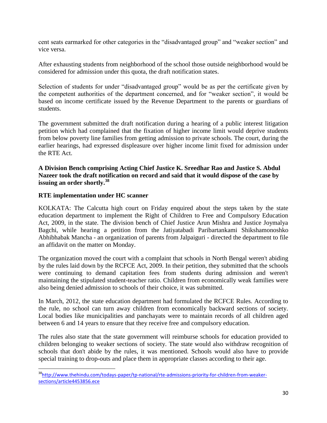cent seats earmarked for other categories in the "disadvantaged group" and "weaker section" and vice versa.

After exhausting students from neighborhood of the school those outside neighborhood would be considered for admission under this quota, the draft notification states.

Selection of students for under "disadvantaged group" would be as per the certificate given by the competent authorities of the department concerned, and for "weaker section", it would be based on income certificate issued by the Revenue Department to the parents or guardians of students.

The government submitted the draft notification during a hearing of a public interest litigation petition which had complained that the fixation of higher income limit would deprive students from below poverty line families from getting admission to private schools. The court, during the earlier hearings, had expressed displeasure over higher income limit fixed for admission under the RTE Act.

### **A Division Bench comprising Acting Chief Justice K. Sreedhar Rao and Justice S. Abdul Nazeer took the draft notification on record and said that it would dispose of the case by issuing an order shortly.<sup>38</sup>**

### **RTE implementation under HC scanner**

l

KOLKATA: The Calcutta high court on Friday enquired about the steps taken by the state education department to implement the Right of Children to Free and Compulsory Education Act, 2009, in the state. The division bench of Chief Justice Arun Mishra and Justice Joymalya Bagchi, while hearing a petition from the Jatiyatabadi Paribartankami Shikshamonoshko Abhibhabak Mancha - an organization of parents from Jalpaiguri - directed the department to file an affidavit on the matter on Monday.

The organization moved the court with a complaint that schools in North Bengal weren't abiding by the rules laid down by the RCFCE Act, 2009. In their petition, they submitted that the schools were continuing to demand capitation fees from students during admission and weren't maintaining the stipulated student-teacher ratio. Children from economically weak families were also being denied admission to schools of their choice, it was submitted.

In March, 2012, the state education department had formulated the RCFCE Rules. According to the rule, no school can turn away children from economically backward sections of society. Local bodies like municipalities and panchayats were to maintain records of all children aged between 6 and 14 years to ensure that they receive free and compulsory education.

The rules also state that the state government will reimburse schools for education provided to children belonging to weaker sections of society. The state would also withdraw recognition of schools that don't abide by the rules, it was mentioned. Schools would also have to provide special training to drop-outs and place them in appropriate classes according to their age.

<sup>&</sup>lt;sup>38</sup>[http://www.thehindu.com/todays-paper/tp-national/rte-admissions-priority-for-children-from-weaker](http://www.thehindu.com/todays-paper/tp-national/rte-admissions-priority-for-children-from-weaker-sections/article4453856.ece)[sections/article4453856.ece](http://www.thehindu.com/todays-paper/tp-national/rte-admissions-priority-for-children-from-weaker-sections/article4453856.ece)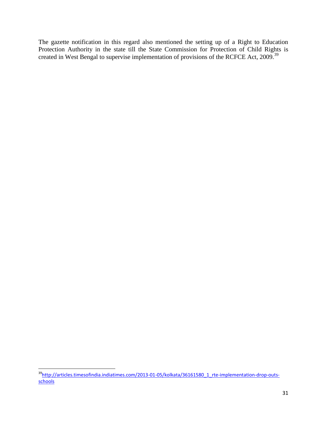The gazette notification in this regard also mentioned the setting up of a Right to Education Protection Authority in the state till the State Commission for Protection of Child Rights is created in West Bengal to supervise implementation of provisions of the RCFCE Act, 2009.<sup>39</sup>

l

<sup>&</sup>lt;sup>39</sup>[http://articles.timesofindia.indiatimes.com/2013-01-05/kolkata/36161580\\_1\\_rte-implementation-drop-outs](http://articles.timesofindia.indiatimes.com/2013-01-05/kolkata/36161580_1_rte-implementation-drop-outs-schools)[schools](http://articles.timesofindia.indiatimes.com/2013-01-05/kolkata/36161580_1_rte-implementation-drop-outs-schools)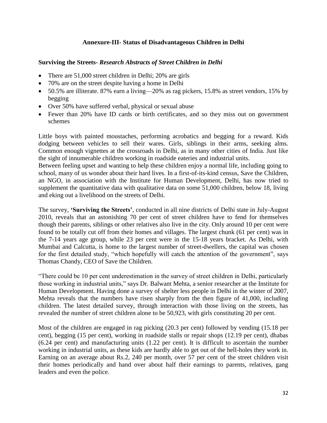### **Annexure-III- Status of Disadvantageous Children in Delhi**

### <span id="page-32-0"></span>**Surviving the Streets-** *Research Abstracts of Street Children in Delhi*

- There are 51,000 street children in Delhi; 20% are girls
- 70% are on the street despite having a home in Delhi
- 50.5% are illiterate. 87% earn a living—20% as rag pickers, 15.8% as street vendors, 15% by begging
- Over 50% have suffered verbal, physical or sexual abuse
- Fewer than 20% have ID cards or birth certificates, and so they miss out on government schemes

Little boys with painted moustaches, performing acrobatics and begging for a reward. Kids dodging between vehicles to sell their wares. Girls, siblings in their arms, seeking alms. Common enough vignettes at the crossroads in Delhi, as in many other cities of India. Just like the sight of innumerable children working in roadside eateries and industrial units.

Between feeling upset and wanting to help these children enjoy a normal life, including going to school, many of us wonder about their hard lives. In a first-of-its-kind census, Save the Children, an NGO, in association with the Institute for Human Development, Delhi, has now tried to supplement the quantitative data with qualitative data on some 51,000 children, below 18, living and eking out a livelihood on the streets of Delhi.

The survey, **"Surviving the Streets"**, conducted in all nine districts of Delhi state in July-August 2010, reveals that an astonishing 70 per cent of street children have to fend for themselves though their parents, siblings or other relatives also live in the city. Only around 10 per cent were found to be totally cut off from their homes and villages. The largest chunk (61 per cent) was in the 7-14 years age group, while 23 per cent were in the 15-18 years bracket. As Delhi, with Mumbai and Calcutta, is home to the largest number of street-dwellers, the capital was chosen for the first detailed study, "which hopefully will catch the attention of the government", says Thomas Chandy, CEO of Save the Children.

―There could be 10 per cent underestimation in the survey of street children in Delhi, particularly those working in industrial units," says Dr. Balwant Mehta, a senior researcher at the Institute for Human Development. Having done a survey of shelter less people in Delhi in the winter of 2007, Mehta reveals that the numbers have risen sharply from the then figure of 41,000, including children. The latest detailed survey, through interaction with those living on the streets, has revealed the number of street children alone to be 50,923, with girls constituting 20 per cent.

Most of the children are engaged in rag picking (20.3 per cent) followed by vending (15.18 per cent), begging (15 per cent), working in roadside stalls or repair shops (12.19 per cent), dhabas (6.24 per cent) and manufacturing units (1.22 per cent). It is difficult to ascertain the number working in industrial units, as these kids are hardly able to get out of the hell-holes they work in. Earning on an average about Rs.2, 240 per month, over 57 per cent of the street children visit their homes periodically and hand over about half their earnings to parents, relatives, gang leaders and even the police.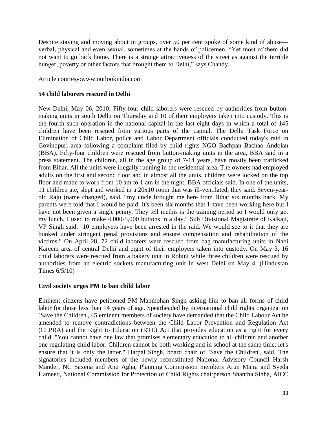Despite staying and moving about in groups, over 50 per cent spoke of some kind of abuse verbal, physical and even sexual, sometimes at the hands of policemen. "Yet most of them did not want to go back home. There is a strange attractiveness of the street as against the terrible hunger, poverty or other factors that brought them to Delhi," says Chandy.

### Article courtesy[:www.outlookindia.com](http://www.outlookindia.com/)

### **54 child laborers rescued in Delhi**

New Delhi, May 06, 2010: Fifty-four child laborers were rescued by authorities from buttonmaking units in south Delhi on Thursday and 10 of their employers taken into custody. This is the fourth such operation in the national capital in the last eight days in which a total of 145 children have been rescued from various parts of the capital. The Delhi Task Force on Elimination of Child Labor, police and Labor Department officials conducted today's raid in Govindpuri area following a complaint filed by child rights NGO Bachpan Bachao Andolan (BBA). Fifty-four children were rescued from button-making units in the area, BBA said in a press statement. The children, all in the age group of 7-14 years, have mostly been trafficked from Bihar. All the units were illegally running in the residential area. The owners had employed adults on the first and second floor and in almost all the units, children were locked on the top floor and made to work from 10 am to 1 am in the night, BBA officials said. In one of the units, 11 children ate, slept and worked in a 20x10 room that was ill-ventilated, they said. Seven-yearold Raju (name changed), said, "my uncle brought me here from Bihar six months back. My parents were told that I would be paid. It's been six months that I have been working here but I have not been given a single penny. They tell methis is the training period so I would only get my lunch. I used to make 4,000-5,000 buttons in a day." Sub Divisional Magistrate of Kalkaji, VP Singh said, "10 employers have been arrested in the raid. We would see to it that they are booked under stringent penal provisions and ensure compensation and rehabilitation of the victims." On April 28, 72 child laborers were rescued from bag manufacturing units in Nabi Kareem area of central Delhi and eight of their employers taken into custody. On May 3, 16 child laborers were rescued from a bakery unit in Rohini while three children were rescued by authorities from an electric sockets manufacturing unit in west Delhi on May 4. (Hindustan Times 6/5/10)

### **Civil society urges PM to ban child labor**

Eminent citizens have petitioned PM Manmohan Singh asking him to ban all forms of child labor for those less than 14 years of age. Spearheaded by international child rights organization `Save the Children', 45 eminent members of society have demanded that the Child Labour Act be amended to remove contradictions between the Child Labor Prevention and Regulation Act (CLPRA) and the Right to Education (RTE) Act that provides education as a right for every child. "You cannot have one law that promises elementary education to all children and another one regulating child labor. Children cannot be both working and in school at the same time; let's ensure that it is only the latter," Harpal Singh, board chair of `Save the Children', said. The signatories included members of the newly reconstituted National Advisory Council Harsh Mander, NC Saxena and Anu Agha, Planning Commission members Arun Maira and Syeda Hameed, National Commission for Protection of Child Rights chairperson Shantha Sinha, AICC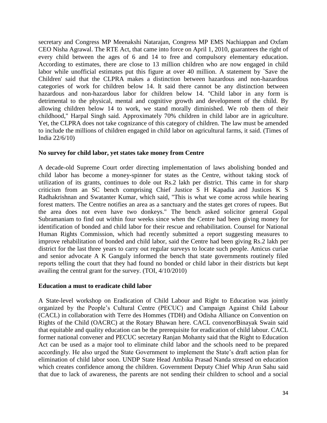secretary and Congress MP Meenakshi Natarajan, Congress MP EMS Nachiappan and Oxfam CEO Nisha Agrawal. The RTE Act, that came into force on April 1, 2010, guarantees the right of every child between the ages of 6 and 14 to free and compulsory elementary education. According to estimates, there are close to 13 million children who are now engaged in child labor while unofficial estimates put this figure at over 40 million. A statement by `Save the Children' said that the CLPRA makes a distinction between hazardous and non-hazardous categories of work for children below 14. It said there cannot be any distinction between hazardous and non-hazardous labor for children below 14. "Child labor in any form is detrimental to the physical, mental and cognitive growth and development of the child. By allowing children below 14 to work, we stand morally diminished. We rob them of their childhood," Harpal Singh said. Approximately 70% children in child labor are in agriculture. Yet, the CLPRA does not take cognizance of this category of children. The law must be amended to include the millions of children engaged in child labor on agricultural farms, it said. (Times of India 22/6/10)

### **No survey for child labor, yet states take money from Centre**

A decade-old Supreme Court order directing implementation of laws abolishing bonded and child labor has become a money-spinner for states as the Centre, without taking stock of utilization of its grants, continues to dole out Rs.2 lakh per district. This came in for sharp criticism from an SC bench comprising Chief Justice S H Kapadia and Justices K S Radhakrishnan and Swatanter Kumar, which said, "This is what we come across while hearing forest matters. The Centre notifies an area as a sanctuary and the states get crores of rupees. But the area does not even have two donkeys." The bench asked solicitor general Gopal Subramaniam to find out within four weeks since when the Centre had been giving money for identification of bonded and child labor for their rescue and rehabilitation. Counsel for National Human Rights Commission, which had recently submitted a report suggesting measures to improve rehabilitation of bonded and child labor, said the Centre had been giving Rs.2 lakh per district for the last three years to carry out regular surveys to locate such people. Amicus curiae and senior advocate A K Ganguly informed the bench that state governments routinely filed reports telling the court that they had found no bonded or child labor in their districts but kept availing the central grant for the survey. (TOI, 4/10/2010)

### **Education a must to eradicate child labor**

A State-level workshop on Eradication of Child Labour and Right to Education was jointly organized by the People's Cultural Centre (PECUC) and Campaign Against Child Labour (CACL) in collaboration with Terre des Hommes (TDH) and Odisha Alliance on Convention on Rights of the Child (OACRC) at the Rotary Bhawan here. CACL convenorBinayak Swain said that equitable and quality education can be the prerequisite for eradication of child labour. CACL former national convener and PECUC secretary Ranjan Mohanty said that the Right to Education Act can be used as a major tool to eliminate child labor and the schools need to be prepared accordingly. He also urged the State Government to implement the State's draft action plan for elimination of child labor soon. UNDP State Head Ambika Prasad Nanda stressed on education which creates confidence among the children. Government Deputy Chief Whip Arun Sahu said that due to lack of awareness, the parents are not sending their children to school and a social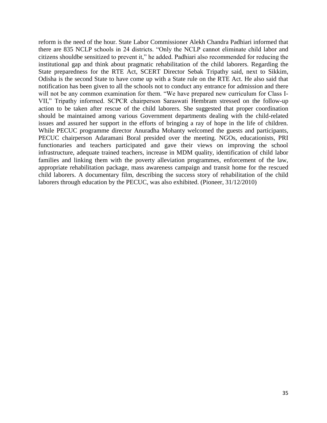reform is the need of the hour. State Labor Commissioner Alekh Chandra Padhiari informed that there are 835 NCLP schools in 24 districts. "Only the NCLP cannot eliminate child labor and citizens shouldbe sensitized to prevent it," he added. Padhiari also recommended for reducing the institutional gap and think about pragmatic rehabilitation of the child laborers. Regarding the State preparedness for the RTE Act, SCERT Director Sebak Tripathy said, next to Sikkim, Odisha is the second State to have come up with a State rule on the RTE Act. He also said that notification has been given to all the schools not to conduct any entrance for admission and there will not be any common examination for them. "We have prepared new curriculum for Class I-VII," Tripathy informed. SCPCR chairperson Saraswati Hembram stressed on the follow-up action to be taken after rescue of the child laborers. She suggested that proper coordination should be maintained among various Government departments dealing with the child-related issues and assured her support in the efforts of bringing a ray of hope in the life of children. While PECUC programme director Anuradha Mohanty welcomed the guests and participants, PECUC chairperson Adaramani Boral presided over the meeting. NGOs, educationists, PRI functionaries and teachers participated and gave their views on improving the school infrastructure, adequate trained teachers, increase in MDM quality, identification of child labor families and linking them with the poverty alleviation programmes, enforcement of the law, appropriate rehabilitation package, mass awareness campaign and transit home for the rescued child laborers. A documentary film, describing the success story of rehabilitation of the child laborers through education by the PECUC, was also exhibited. (Pioneer, 31/12/2010)